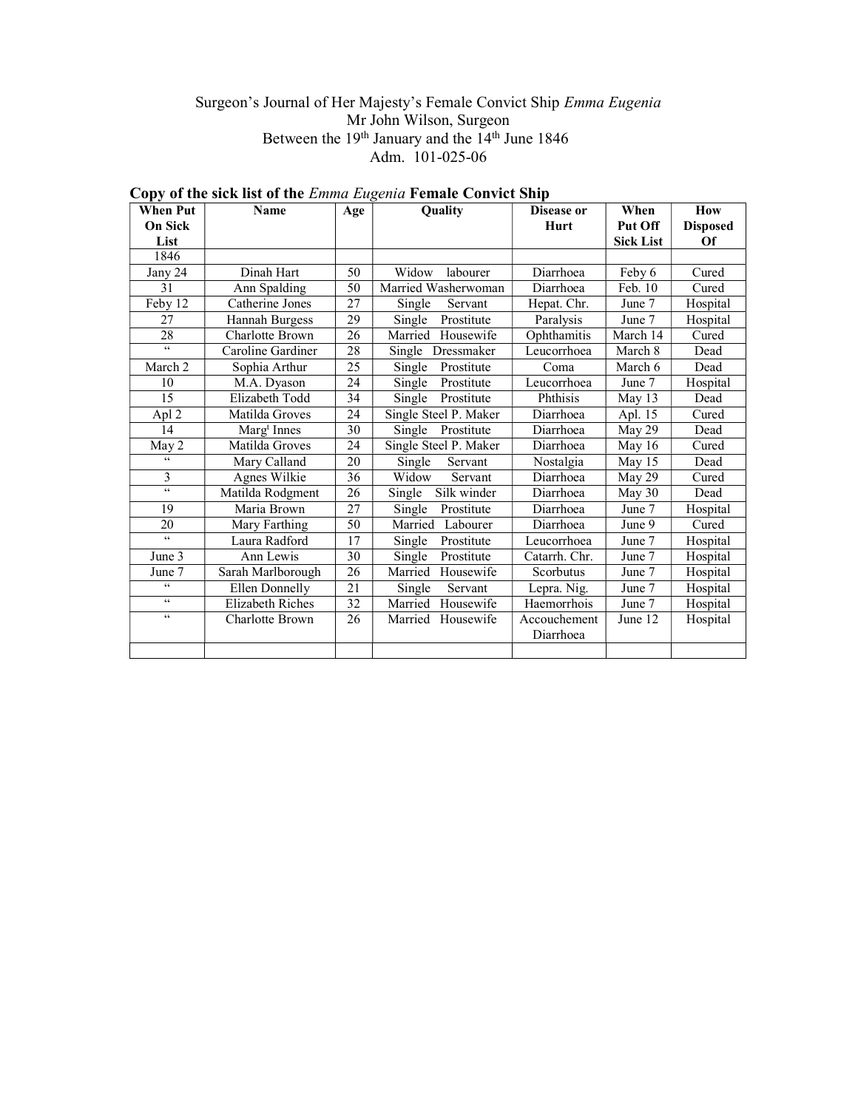# Surgeon's Journal of Her Majesty's Female Convict Ship Emma Eugenia Mr John Wilson, Surgeon Between the 19<sup>th</sup> January and the 14<sup>th</sup> June 1846 Adm. 101-025-06

| <b>When Put</b> | <b>Name</b>             | Age | Quality               | Disease or    | When             | How             |
|-----------------|-------------------------|-----|-----------------------|---------------|------------------|-----------------|
| <b>On Sick</b>  |                         |     |                       | Hurt          | Put Off          | <b>Disposed</b> |
| List            |                         |     |                       |               | <b>Sick List</b> | Of              |
| 1846            |                         |     |                       |               |                  |                 |
| Jany 24         | Dinah Hart              | 50  | Widow<br>labourer     | Diarrhoea     | Feby 6           | Cured           |
| 31              | Ann Spalding            | 50  | Married Washerwoman   | Diarrhoea     | Feb. 10          | Cured           |
| Feby 12         | Catherine Jones         | 27  | Servant<br>Single     | Hepat. Chr.   | June 7           | Hospital        |
| 27              | Hannah Burgess          | 29  | Prostitute<br>Single  | Paralysis     | June 7           | Hospital        |
| 28              | Charlotte Brown         | 26  | Married Housewife     | Ophthamitis   | March 14         | Cured           |
| $\zeta\,\zeta$  | Caroline Gardiner       | 28  | Dressmaker<br>Single  | Leucorrhoea   | March 8          | Dead            |
| March 2         | Sophia Arthur           | 25  | Single<br>Prostitute  | Coma          | March 6          | Dead            |
| 10              | M.A. Dyason             | 24  | Prostitute<br>Single  | Leucorrhoea   | June 7           | Hospital        |
| 15              | Elizabeth Todd          | 34  | Single<br>Prostitute  | Phthisis      | May $13$         | Dead            |
| Apl 2           | Matilda Groves          | 24  | Single Steel P. Maker | Diarrhoea     | Apl. 15          | Cured           |
| 14              | Marg <sup>t</sup> Innes | 30  | Single Prostitute     | Diarrhoea     | May 29           | Dead            |
| May 2           | Matilda Groves          | 24  | Single Steel P. Maker | Diarrhoea     | May 16           | Cured           |
| $\zeta\,\zeta$  | Mary Calland            | 20  | Single<br>Servant     | Nostalgia     | May 15           | Dead            |
| 3               | Agnes Wilkie            | 36  | Widow<br>Servant      | Diarrhoea     | May 29           | Cured           |
| $\zeta\,\zeta$  | Matilda Rodgment        | 26  | Silk winder<br>Single | Diarrhoea     | May $30$         | Dead            |
| 19              | Maria Brown             | 27  | Single<br>Prostitute  | Diarrhoea     | June 7           | Hospital        |
| 20              | Mary Farthing           | 50  | Married Labourer      | Diarrhoea     | June 9           | Cured           |
| $\epsilon$      | Laura Radford           | 17  | Single<br>Prostitute  | Leucorrhoea   | June 7           | Hospital        |
| June 3          | Ann Lewis               | 30  | Single<br>Prostitute  | Catarrh. Chr. | June 7           | Hospital        |
| June 7          | Sarah Marlborough       | 26  | Married Housewife     | Scorbutus     | June 7           | Hospital        |
| $\epsilon$      | Ellen Donnelly          | 21  | Single<br>Servant     | Lepra. Nig.   | June 7           | Hospital        |
| $\zeta\,\zeta$  | Elizabeth Riches        | 32  | Married Housewife     | Haemorrhois   | June 7           | Hospital        |
| $\zeta\,\zeta$  | Charlotte Brown         | 26  | Married Housewife     | Accouchement  | June 12          | Hospital        |
|                 |                         |     |                       | Diarrhoea     |                  |                 |
|                 |                         |     |                       |               |                  |                 |

# Copy of the sick list of the Emma Eugenia Female Convict Ship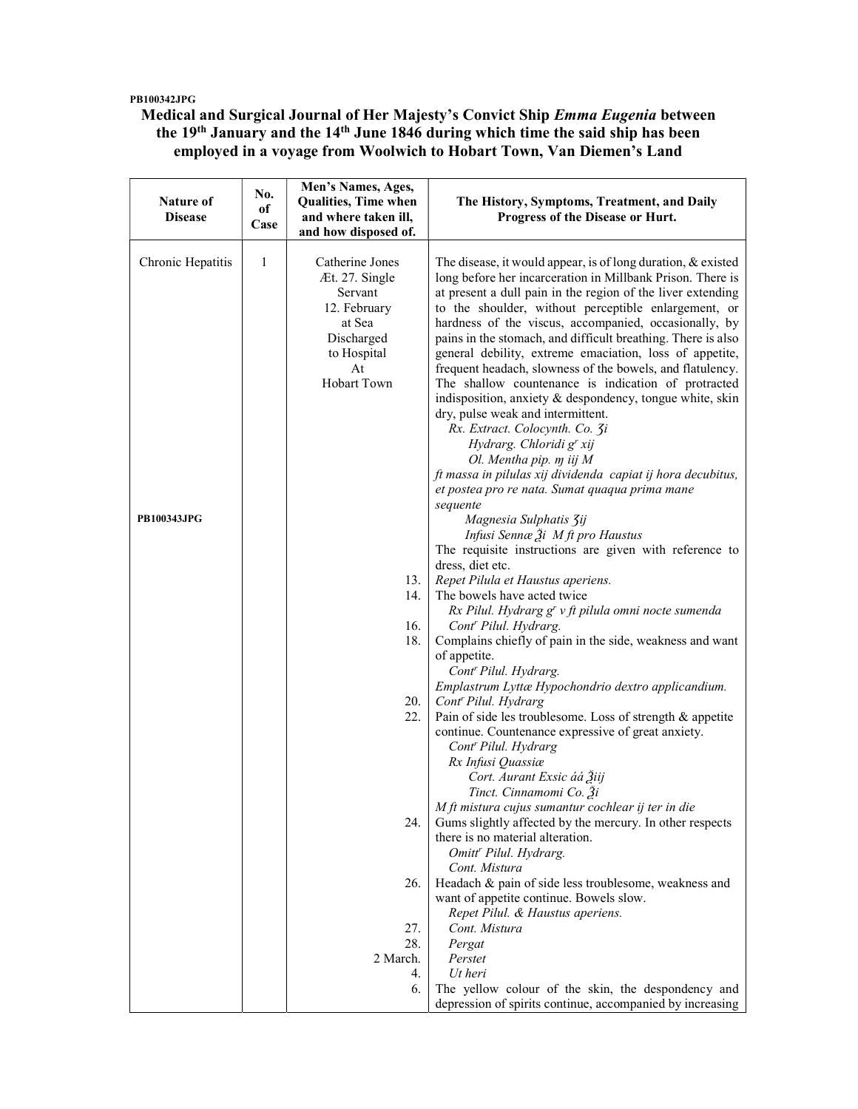## PB100342JPG

Medical and Surgical Journal of Her Majesty's Convict Ship Emma Eugenia between the 19<sup>th</sup> January and the 14<sup>th</sup> June 1846 during which time the said ship has been employed in a voyage from Woolwich to Hobart Town, Van Diemen's Land

| Nature of<br><b>Disease</b> | No.<br>оf<br>Case | Men's Names, Ages,<br><b>Qualities, Time when</b><br>and where taken ill,<br>and how disposed of.                               | The History, Symptoms, Treatment, and Daily<br><b>Progress of the Disease or Hurt.</b>                                                                                                                                                                                                                                                                                                                                                                                                                                                                                                                                                                                                                                                                                                                                                                               |
|-----------------------------|-------------------|---------------------------------------------------------------------------------------------------------------------------------|----------------------------------------------------------------------------------------------------------------------------------------------------------------------------------------------------------------------------------------------------------------------------------------------------------------------------------------------------------------------------------------------------------------------------------------------------------------------------------------------------------------------------------------------------------------------------------------------------------------------------------------------------------------------------------------------------------------------------------------------------------------------------------------------------------------------------------------------------------------------|
| Chronic Hepatitis           | 1                 | Catherine Jones<br>Æt. 27. Single<br>Servant<br>12. February<br>at Sea<br>Discharged<br>to Hospital<br>At<br><b>Hobart Town</b> | The disease, it would appear, is of long duration, & existed<br>long before her incarceration in Millbank Prison. There is<br>at present a dull pain in the region of the liver extending<br>to the shoulder, without perceptible enlargement, or<br>hardness of the viscus, accompanied, occasionally, by<br>pains in the stomach, and difficult breathing. There is also<br>general debility, extreme emaciation, loss of appetite,<br>frequent headach, slowness of the bowels, and flatulency.<br>The shallow countenance is indication of protracted<br>indisposition, anxiety & despondency, tongue white, skin<br>dry, pulse weak and intermittent.<br>Rx. Extract. Colocynth. Co. 3i<br>Hydrarg. Chloridi g' xij<br>Ol. Mentha pip. m iij M<br>ft massa in pilulas xij dividenda capiat ij hora decubitus,<br>et postea pro re nata. Sumat quaqua prima mane |
| <b>PB100343JPG</b>          |                   |                                                                                                                                 | sequente<br>Magnesia Sulphatis 3ij<br>Infusi Sennæ $\tilde{A}$ i M ft pro Haustus<br>The requisite instructions are given with reference to                                                                                                                                                                                                                                                                                                                                                                                                                                                                                                                                                                                                                                                                                                                          |
|                             |                   | 13.<br>14.                                                                                                                      | dress, diet etc.<br>Repet Pilula et Haustus aperiens.<br>The bowels have acted twice<br>Rx Pilul. Hydrarg g' v ft pilula omni nocte sumenda                                                                                                                                                                                                                                                                                                                                                                                                                                                                                                                                                                                                                                                                                                                          |
|                             |                   | 16.<br>18.                                                                                                                      | Cont <sup>r</sup> Pilul. Hydrarg.<br>Complains chiefly of pain in the side, weakness and want<br>of appetite.<br>Cont' Pilul. Hydrarg.                                                                                                                                                                                                                                                                                                                                                                                                                                                                                                                                                                                                                                                                                                                               |
|                             |                   | 20.<br>22.                                                                                                                      | Emplastrum Lyttæ Hypochondrio dextro applicandium.<br>Cont <sup>r</sup> Pilul. Hydrarg<br>Pain of side les troublesome. Loss of strength & appetite<br>continue. Countenance expressive of great anxiety.<br>Cont' Pilul. Hydrarg<br>Rx Infusi Quassiæ                                                                                                                                                                                                                                                                                                                                                                                                                                                                                                                                                                                                               |
|                             |                   | 24.                                                                                                                             | Cort. Aurant Exsic áá Žiij<br>Tinct. Cinnamomi Co. Ži<br>M ft mistura cujus sumantur cochlear ij ter in die<br>Gums slightly affected by the mercury. In other respects<br>there is no material alteration.<br>Omitt' Pilul. Hydrarg.                                                                                                                                                                                                                                                                                                                                                                                                                                                                                                                                                                                                                                |
|                             |                   | 26.<br>27.                                                                                                                      | Cont. Mistura<br>Headach & pain of side less troublesome, weakness and<br>want of appetite continue. Bowels slow.<br>Repet Pilul. & Haustus aperiens.<br>Cont. Mistura                                                                                                                                                                                                                                                                                                                                                                                                                                                                                                                                                                                                                                                                                               |
|                             |                   | 28.<br>2 March.<br>4.<br>6.                                                                                                     | Pergat<br>Perstet<br>Ut heri<br>The yellow colour of the skin, the despondency and                                                                                                                                                                                                                                                                                                                                                                                                                                                                                                                                                                                                                                                                                                                                                                                   |
|                             |                   |                                                                                                                                 | depression of spirits continue, accompanied by increasing                                                                                                                                                                                                                                                                                                                                                                                                                                                                                                                                                                                                                                                                                                                                                                                                            |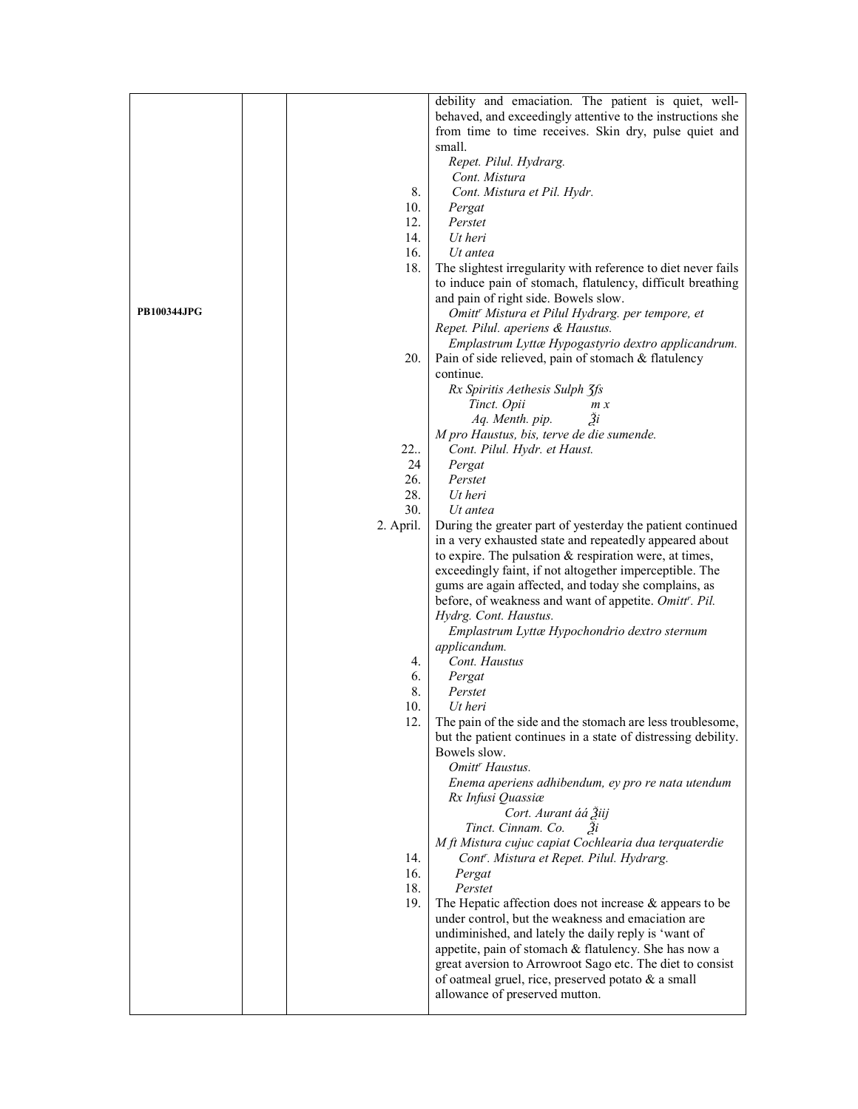|                    |           | debility and emaciation. The patient is quiet, well-          |
|--------------------|-----------|---------------------------------------------------------------|
|                    |           | behaved, and exceedingly attentive to the instructions she    |
|                    |           | from time to time receives. Skin dry, pulse quiet and         |
|                    |           | small.                                                        |
|                    |           | Repet. Pilul. Hydrarg.                                        |
|                    |           | Cont. Mistura                                                 |
|                    | 8.        | Cont. Mistura et Pil. Hydr.                                   |
|                    | 10.       |                                                               |
|                    | 12.       | Pergat<br>Perstet                                             |
|                    |           | Ut heri                                                       |
|                    | 14.       |                                                               |
|                    | 16.       | Ut antea                                                      |
|                    | 18.       | The slightest irregularity with reference to diet never fails |
|                    |           | to induce pain of stomach, flatulency, difficult breathing    |
|                    |           | and pain of right side. Bowels slow.                          |
| <b>PB100344JPG</b> |           | Omitt <sup>r</sup> Mistura et Pilul Hydrarg. per tempore, et  |
|                    |           | Repet. Pilul. aperiens & Haustus.                             |
|                    |           | Emplastrum Lyttæ Hypogastyrio dextro applicandrum.            |
|                    | 20.       | Pain of side relieved, pain of stomach & flatulency           |
|                    |           | continue.                                                     |
|                    |           | Rx Spiritis Aethesis Sulph 3fs                                |
|                    |           | Tinct. Opii<br>m x                                            |
|                    |           | $\tilde{\mathfrak{Z}}_i$<br>Aq. Menth. pip.                   |
|                    |           | M pro Haustus, bis, terve de die sumende.                     |
|                    | 22.       | Cont. Pilul. Hydr. et Haust.                                  |
|                    | 24        | Pergat                                                        |
|                    | 26.       | Perstet                                                       |
|                    | 28.       | Ut heri                                                       |
|                    | 30.       | Ut antea                                                      |
|                    | 2. April. | During the greater part of yesterday the patient continued    |
|                    |           | in a very exhausted state and repeatedly appeared about       |
|                    |           | to expire. The pulsation & respiration were, at times,        |
|                    |           | exceedingly faint, if not altogether imperceptible. The       |
|                    |           | gums are again affected, and today she complains, as          |
|                    |           | before, of weakness and want of appetite. Omitt'. Pil.        |
|                    |           | Hydrg. Cont. Haustus.                                         |
|                    |           | Emplastrum Lyttæ Hypochondrio dextro sternum                  |
|                    |           | applicandum.                                                  |
|                    | 4.        | Cont. Haustus                                                 |
|                    | 6.        |                                                               |
|                    |           | Pergat                                                        |
|                    | 8.        | Perstet                                                       |
|                    | 10.       | Ut heri                                                       |
|                    | 12.       | The pain of the side and the stomach are less troublesome,    |
|                    |           | but the patient continues in a state of distressing debility. |
|                    |           | Bowels slow.                                                  |
|                    |           | Omitt <sup>r</sup> Haustus.                                   |
|                    |           | Enema aperiens adhibendum, ey pro re nata utendum             |
|                    |           | Rx Infusi Quassiæ                                             |
|                    |           | Cort. Aurant áá Žiij                                          |
|                    |           | Tinct. Cinnam. Co.<br>3i                                      |
|                    |           | M ft Mistura cujuc capiat Cochlearia dua terquaterdie         |
|                    | 14.       | Cont". Mistura et Repet. Pilul. Hydrarg.                      |
|                    | 16.       | Pergat                                                        |
|                    | 18.       | Perstet                                                       |
|                    | 19.       | The Hepatic affection does not increase $\&$ appears to be    |
|                    |           | under control, but the weakness and emaciation are            |
|                    |           | undiminished, and lately the daily reply is 'want of          |
|                    |           | appetite, pain of stomach & flatulency. She has now a         |
|                    |           | great aversion to Arrowroot Sago etc. The diet to consist     |
|                    |           | of oatmeal gruel, rice, preserved potato & a small            |
|                    |           | allowance of preserved mutton.                                |
|                    |           |                                                               |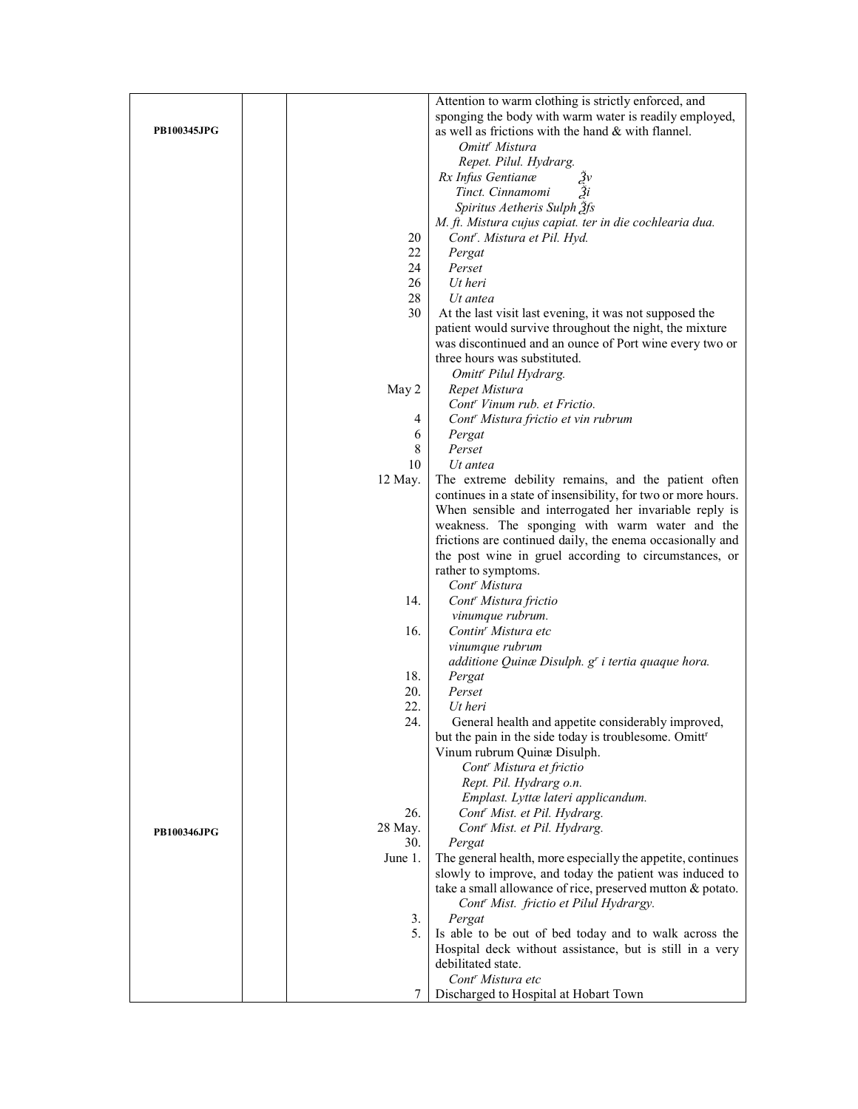|                    |         | Attention to warm clothing is strictly enforced, and              |
|--------------------|---------|-------------------------------------------------------------------|
|                    |         | sponging the body with warm water is readily employed,            |
| <b>PB100345JPG</b> |         | as well as frictions with the hand & with flannel.                |
|                    |         | Omitt <sup>r</sup> Mistura                                        |
|                    |         | Repet. Pilul. Hydrarg.                                            |
|                    |         | Rx Infus Gentianæ                                                 |
|                    |         | Tinct. Cinnamomi<br>Ѯi                                            |
|                    |         | Spiritus Aetheris Sulph 3fs                                       |
|                    |         |                                                                   |
|                    |         | M. ft. Mistura cujus capiat. ter in die cochlearia dua.           |
|                    | 20      | Cont <sup>r</sup> . Mistura et Pil. Hyd.                          |
|                    | 22      | Pergat                                                            |
|                    | 24      | Perset                                                            |
|                    | 26      | Ut heri                                                           |
|                    | 28      | Ut antea                                                          |
|                    | 30      | At the last visit last evening, it was not supposed the           |
|                    |         | patient would survive throughout the night, the mixture           |
|                    |         | was discontinued and an ounce of Port wine every two or           |
|                    |         | three hours was substituted.                                      |
|                    |         | Omitt <sup>r</sup> Pilul Hydrarg.                                 |
|                    | May 2   | Repet Mistura                                                     |
|                    |         | Cont <sup>r</sup> Vinum rub. et Frictio.                          |
|                    | 4       | Cont <sup>r</sup> Mistura frictio et vin rubrum                   |
|                    |         |                                                                   |
|                    | 6       | Pergat                                                            |
|                    | 8       | Perset                                                            |
|                    | 10      | Ut antea                                                          |
|                    | 12 May. | The extreme debility remains, and the patient often               |
|                    |         | continues in a state of insensibility, for two or more hours.     |
|                    |         | When sensible and interrogated her invariable reply is            |
|                    |         | weakness. The sponging with warm water and the                    |
|                    |         | frictions are continued daily, the enema occasionally and         |
|                    |         | the post wine in gruel according to circumstances, or             |
|                    |         | rather to symptoms.                                               |
|                    |         | Cont <sup>r</sup> Mistura                                         |
|                    | 14.     | Cont <sup>r</sup> Mistura frictio                                 |
|                    |         | vinumque rubrum.                                                  |
|                    | 16.     | Contin <sup>r</sup> Mistura etc                                   |
|                    |         | vinumque rubrum                                                   |
|                    |         | additione Quinæ Disulph. g' i tertia quaque hora.                 |
|                    | 18.     | Pergat                                                            |
|                    | 20.     | Perset                                                            |
|                    |         |                                                                   |
|                    | 22.     | Ut heri                                                           |
|                    | 24.     | General health and appetite considerably improved,                |
|                    |         | but the pain in the side today is troublesome. Omitt <sup>r</sup> |
|                    |         | Vinum rubrum Quinæ Disulph.                                       |
|                    |         | Cont <sup>r</sup> Mistura et frictio                              |
|                    |         | Rept. Pil. Hydrarg o.n.                                           |
|                    |         | Emplast. Lyttæ lateri applicandum.                                |
|                    | 26.     | Cont' Mist. et Pil. Hydrarg.                                      |
| <b>PB100346JPG</b> | 28 May. | Cont' Mist. et Pil. Hydrarg.                                      |
|                    | 30.     | Pergat                                                            |
|                    | June 1. | The general health, more especially the appetite, continues       |
|                    |         | slowly to improve, and today the patient was induced to           |
|                    |         | take a small allowance of rice, preserved mutton & potato.        |
|                    |         | Cont' Mist. frictio et Pilul Hydrargy.                            |
|                    | 3.      | Pergat                                                            |
|                    | 5.      |                                                                   |
|                    |         | Is able to be out of bed today and to walk across the             |
|                    |         | Hospital deck without assistance, but is still in a very          |
|                    |         | debilitated state.                                                |
|                    |         | Cont <sup>r</sup> Mistura etc                                     |
|                    | 7       | Discharged to Hospital at Hobart Town                             |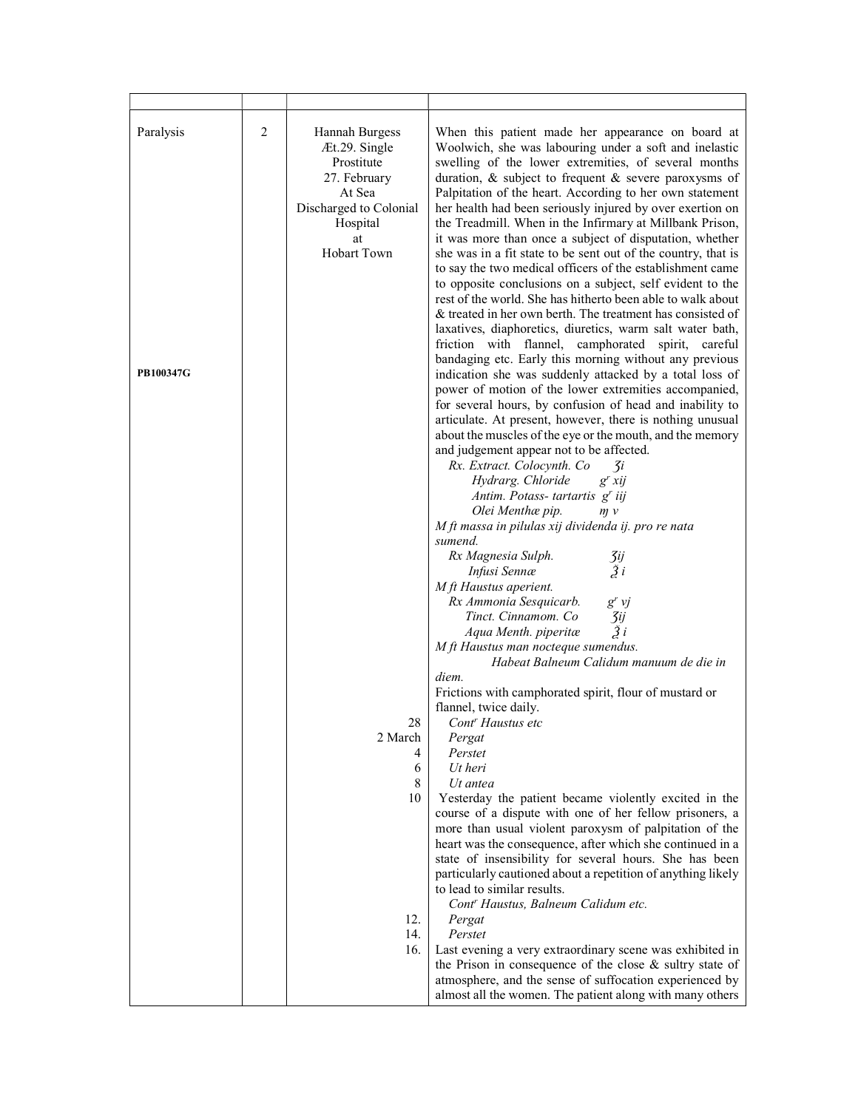| Paralysis<br>PB100347G | 2 | Hannah Burgess<br>Æt.29. Single<br>Prostitute<br>27. February<br>At Sea<br>Discharged to Colonial<br>Hospital<br>at<br><b>Hobart Town</b> | When this patient made her appearance on board at<br>Woolwich, she was labouring under a soft and inelastic<br>swelling of the lower extremities, of several months<br>duration, & subject to frequent & severe paroxysms of<br>Palpitation of the heart. According to her own statement<br>her health had been seriously injured by over exertion on<br>the Treadmill. When in the Infirmary at Millbank Prison,<br>it was more than once a subject of disputation, whether<br>she was in a fit state to be sent out of the country, that is<br>to say the two medical officers of the establishment came<br>to opposite conclusions on a subject, self evident to the<br>rest of the world. She has hitherto been able to walk about<br>& treated in her own berth. The treatment has consisted of<br>laxatives, diaphoretics, diuretics, warm salt water bath,<br>friction with flannel, camphorated spirit, careful<br>bandaging etc. Early this morning without any previous<br>indication she was suddenly attacked by a total loss of<br>power of motion of the lower extremities accompanied,<br>for several hours, by confusion of head and inability to<br>articulate. At present, however, there is nothing unusual<br>about the muscles of the eye or the mouth, and the memory<br>and judgement appear not to be affected.<br>Rx. Extract. Colocynth. Co<br>$\mathcal{I}$ i<br>Hydrarg. Chloride<br>$g^r x i j$<br>Antim. Potass- tartartis g' iij<br>Olei Menthæ pip.<br>m v<br>M ft massa in pilulas xij dividenda ij. pro re nata<br>sumend.<br>Rx Magnesia Sulph.<br>$\frac{3ij}{2i}$<br>Infusi Sennæ<br>M ft Haustus aperient. |
|------------------------|---|-------------------------------------------------------------------------------------------------------------------------------------------|--------------------------------------------------------------------------------------------------------------------------------------------------------------------------------------------------------------------------------------------------------------------------------------------------------------------------------------------------------------------------------------------------------------------------------------------------------------------------------------------------------------------------------------------------------------------------------------------------------------------------------------------------------------------------------------------------------------------------------------------------------------------------------------------------------------------------------------------------------------------------------------------------------------------------------------------------------------------------------------------------------------------------------------------------------------------------------------------------------------------------------------------------------------------------------------------------------------------------------------------------------------------------------------------------------------------------------------------------------------------------------------------------------------------------------------------------------------------------------------------------------------------------------------------------------------------------------------------------------------------------------------------------|
|                        |   |                                                                                                                                           | Rx Ammonia Sesquicarb.<br>$g'$ vj<br>Tinct. Cinnamom. Co<br>3ij<br>$\tilde{z}$<br>Aqua Menth. piperitæ<br>M ft Haustus man nocteque sumendus.<br>Habeat Balneum Calidum manuum de die in<br>diem.<br>Frictions with camphorated spirit, flour of mustard or                                                                                                                                                                                                                                                                                                                                                                                                                                                                                                                                                                                                                                                                                                                                                                                                                                                                                                                                                                                                                                                                                                                                                                                                                                                                                                                                                                                      |
|                        |   | 28<br>2 March<br>4<br>6<br>8                                                                                                              | flannel, twice daily.<br>Cont <sup>r</sup> Haustus etc<br>Pergat<br>Perstet<br>Ut heri<br>$Ut$ antea                                                                                                                                                                                                                                                                                                                                                                                                                                                                                                                                                                                                                                                                                                                                                                                                                                                                                                                                                                                                                                                                                                                                                                                                                                                                                                                                                                                                                                                                                                                                             |
|                        |   | 10                                                                                                                                        | Yesterday the patient became violently excited in the<br>course of a dispute with one of her fellow prisoners, a<br>more than usual violent paroxysm of palpitation of the<br>heart was the consequence, after which she continued in a<br>state of insensibility for several hours. She has been<br>particularly cautioned about a repetition of anything likely<br>to lead to similar results.                                                                                                                                                                                                                                                                                                                                                                                                                                                                                                                                                                                                                                                                                                                                                                                                                                                                                                                                                                                                                                                                                                                                                                                                                                                 |
|                        |   | 12.<br>14.<br>16.                                                                                                                         | Cont <sup>r</sup> Haustus, Balneum Calidum etc.<br>Pergat<br>Perstet<br>Last evening a very extraordinary scene was exhibited in                                                                                                                                                                                                                                                                                                                                                                                                                                                                                                                                                                                                                                                                                                                                                                                                                                                                                                                                                                                                                                                                                                                                                                                                                                                                                                                                                                                                                                                                                                                 |
|                        |   |                                                                                                                                           | the Prison in consequence of the close $\&$ sultry state of<br>atmosphere, and the sense of suffocation experienced by<br>almost all the women. The patient along with many others                                                                                                                                                                                                                                                                                                                                                                                                                                                                                                                                                                                                                                                                                                                                                                                                                                                                                                                                                                                                                                                                                                                                                                                                                                                                                                                                                                                                                                                               |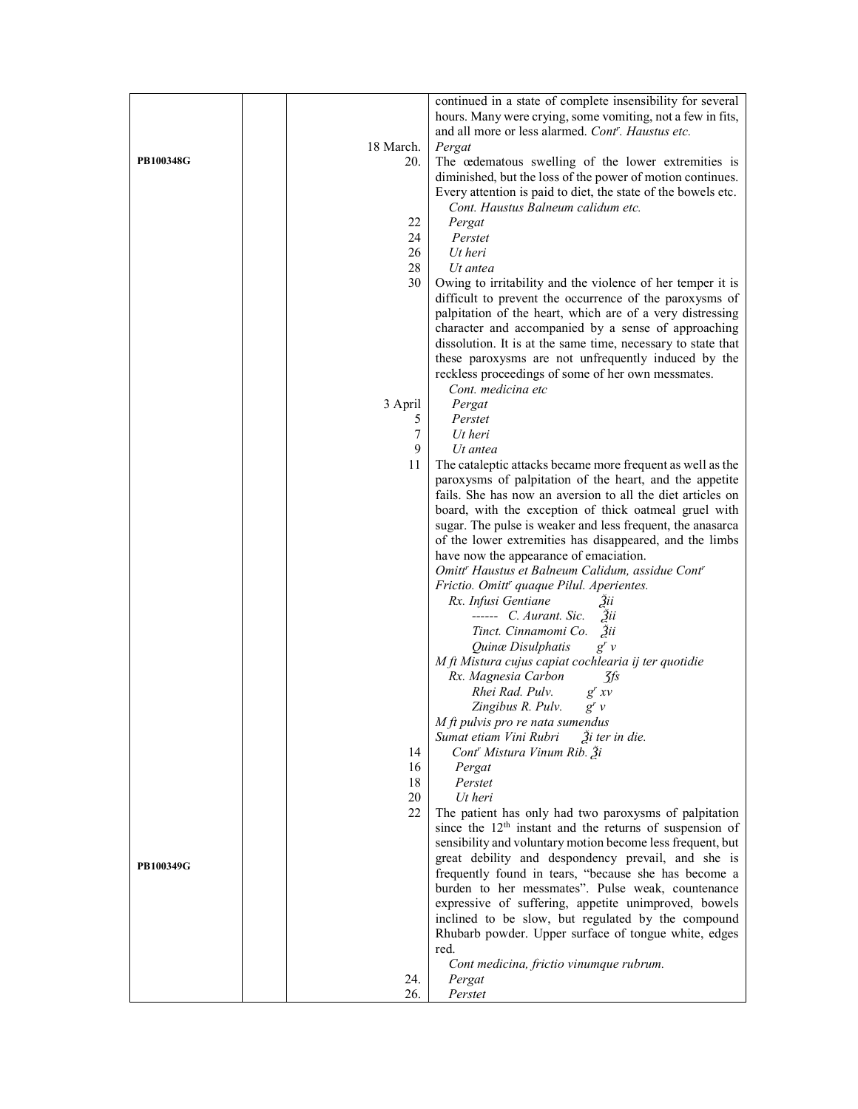|           |           | continued in a state of complete insensibility for several                                                              |
|-----------|-----------|-------------------------------------------------------------------------------------------------------------------------|
|           |           | hours. Many were crying, some vomiting, not a few in fits,<br>and all more or less alarmed. Cont''. Haustus etc.        |
|           | 18 March. | Pergat                                                                                                                  |
| PB100348G | 20.       | The œdematous swelling of the lower extremities is                                                                      |
|           |           | diminished, but the loss of the power of motion continues.                                                              |
|           |           | Every attention is paid to diet, the state of the bowels etc.<br>Cont. Haustus Balneum calidum etc.                     |
|           | 22        | Pergat                                                                                                                  |
|           | 24        | Perstet                                                                                                                 |
|           | 26        | Ut heri                                                                                                                 |
|           | 28        | Ut antea                                                                                                                |
|           | 30        | Owing to irritability and the violence of her temper it is                                                              |
|           |           | difficult to prevent the occurrence of the paroxysms of<br>palpitation of the heart, which are of a very distressing    |
|           |           | character and accompanied by a sense of approaching                                                                     |
|           |           | dissolution. It is at the same time, necessary to state that                                                            |
|           |           | these paroxysms are not unfrequently induced by the                                                                     |
|           |           | reckless proceedings of some of her own messmates.<br>Cont. medicina etc                                                |
|           | 3 April   | Pergat                                                                                                                  |
|           | 5         | Perstet                                                                                                                 |
|           | 7         | Ut heri                                                                                                                 |
|           | 9         | Ut antea                                                                                                                |
|           | 11        | The cataleptic attacks became more frequent as well as the                                                              |
|           |           | paroxysms of palpitation of the heart, and the appetite<br>fails. She has now an aversion to all the diet articles on   |
|           |           | board, with the exception of thick oatmeal gruel with                                                                   |
|           |           | sugar. The pulse is weaker and less frequent, the anasarca                                                              |
|           |           | of the lower extremities has disappeared, and the limbs                                                                 |
|           |           | have now the appearance of emaciation.                                                                                  |
|           |           | Omitt" Haustus et Balneum Calidum, assidue Cont"<br>Frictio. Omitt' quaque Pilul. Aperientes.                           |
|           |           | Rx. Infusi Gentiane<br>Зii                                                                                              |
|           |           | $--- C.$ Aurant. Sic. $\tilde{3}$ ii                                                                                    |
|           |           | Tinct. Cinnamomi Co.<br>$\ddot{3}$ ii                                                                                   |
|           |           | Quinæ Disulphatis<br>$g'$ $\nu$                                                                                         |
|           |           | M ft Mistura cujus capiat cochlearia ij ter quotidie<br>Rx. Magnesia Carbon<br>3fs                                      |
|           |           | Rhei Rad. Pulv.<br>$g^{r} x v$                                                                                          |
|           |           | Zingibus R. Pulv.<br>$g^r v$                                                                                            |
|           |           | M ft pulvis pro re nata sumendus                                                                                        |
|           | 14        | Sumat etiam Vini Rubri<br>$\tilde{a}$ <i>i</i> ter in die.<br>Cont' Mistura Vinum Rib. 3i                               |
|           | 16        | Pergat                                                                                                                  |
|           | 18        | Perstet                                                                                                                 |
|           | 20        | Ut heri                                                                                                                 |
|           | 22        | The patient has only had two paroxysms of palpitation                                                                   |
|           |           | since the $12th$ instant and the returns of suspension of<br>sensibility and voluntary motion become less frequent, but |
|           |           | great debility and despondency prevail, and she is                                                                      |
| PB100349G |           | frequently found in tears, "because she has become a                                                                    |
|           |           | burden to her messmates". Pulse weak, countenance                                                                       |
|           |           | expressive of suffering, appetite unimproved, bowels                                                                    |
|           |           | inclined to be slow, but regulated by the compound<br>Rhubarb powder. Upper surface of tongue white, edges              |
|           |           | red.                                                                                                                    |
|           |           | Cont medicina, frictio vinumque rubrum.                                                                                 |
|           | 24.       | Pergat                                                                                                                  |
|           | 26.       | Perstet                                                                                                                 |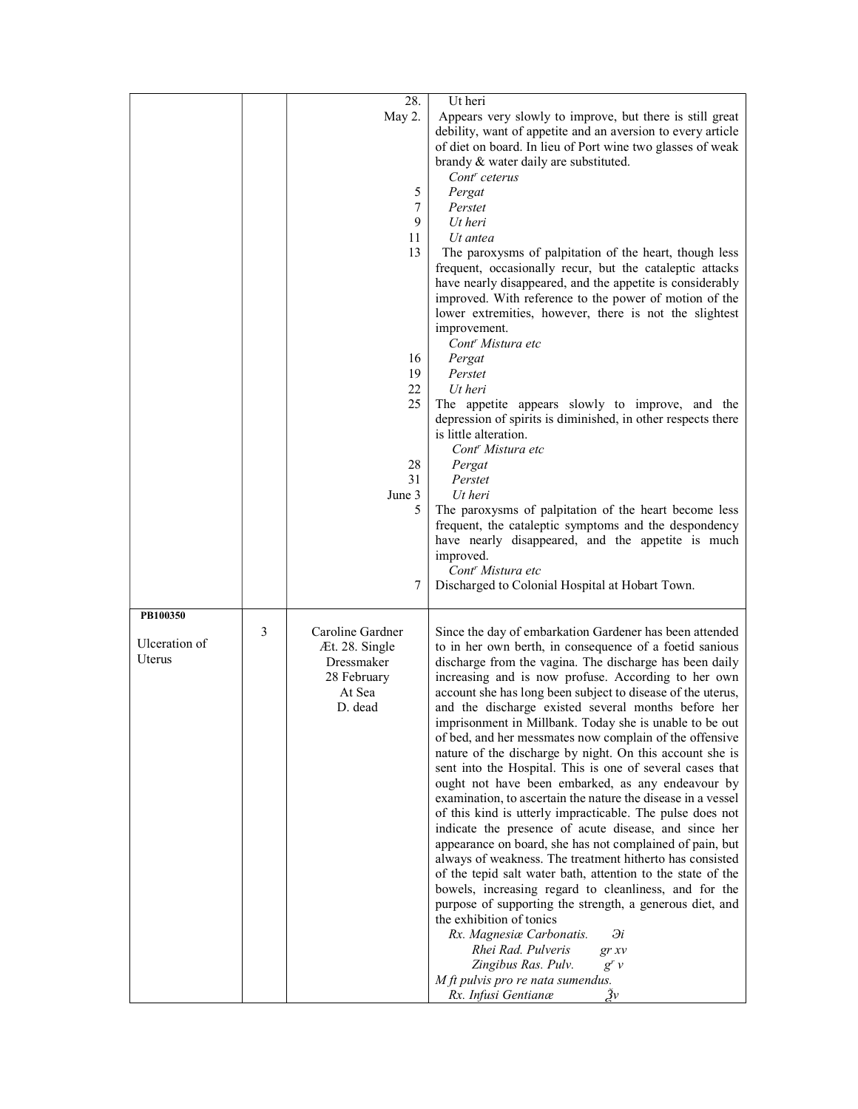|               |   | 28.                                | Ut heri                                                                                                                                                                                                                                                                                                                                                          |
|---------------|---|------------------------------------|------------------------------------------------------------------------------------------------------------------------------------------------------------------------------------------------------------------------------------------------------------------------------------------------------------------------------------------------------------------|
|               |   | May 2.                             | Appears very slowly to improve, but there is still great<br>debility, want of appetite and an aversion to every article<br>of diet on board. In lieu of Port wine two glasses of weak<br>brandy & water daily are substituted.<br>Cont <sup>r</sup> ceterus                                                                                                      |
|               |   | 5                                  | Pergat                                                                                                                                                                                                                                                                                                                                                           |
|               |   | 7                                  | Perstet                                                                                                                                                                                                                                                                                                                                                          |
|               |   | 9                                  | Ut heri                                                                                                                                                                                                                                                                                                                                                          |
|               |   | 11<br>13                           | Ut antea<br>The paroxysms of palpitation of the heart, though less<br>frequent, occasionally recur, but the cataleptic attacks<br>have nearly disappeared, and the appetite is considerably<br>improved. With reference to the power of motion of the<br>lower extremities, however, there is not the slightest<br>improvement.<br>Cont <sup>r</sup> Mistura etc |
|               |   | 16                                 | Pergat                                                                                                                                                                                                                                                                                                                                                           |
|               |   | 19                                 | Perstet                                                                                                                                                                                                                                                                                                                                                          |
|               |   | 22                                 | Ut heri                                                                                                                                                                                                                                                                                                                                                          |
|               |   | 25                                 | The appetite appears slowly to improve, and the<br>depression of spirits is diminished, in other respects there<br>is little alteration.<br>Cont <sup>r</sup> Mistura etc                                                                                                                                                                                        |
|               |   | 28                                 | Pergat                                                                                                                                                                                                                                                                                                                                                           |
|               |   | 31                                 | Perstet                                                                                                                                                                                                                                                                                                                                                          |
|               |   | June 3                             | Ut heri                                                                                                                                                                                                                                                                                                                                                          |
|               |   | 5                                  | The paroxysms of palpitation of the heart become less<br>frequent, the cataleptic symptoms and the despondency<br>have nearly disappeared, and the appetite is much<br>improved.                                                                                                                                                                                 |
|               |   |                                    | Cont <sup>r</sup> Mistura etc                                                                                                                                                                                                                                                                                                                                    |
|               |   | 7                                  | Discharged to Colonial Hospital at Hobart Town.                                                                                                                                                                                                                                                                                                                  |
| PB100350      |   |                                    |                                                                                                                                                                                                                                                                                                                                                                  |
| Ulceration of | 3 | Caroline Gardner<br>Æt. 28. Single | Since the day of embarkation Gardener has been attended<br>to in her own berth, in consequence of a foetid sanious                                                                                                                                                                                                                                               |
| Uterus        |   | Dressmaker                         | discharge from the vagina. The discharge has been daily                                                                                                                                                                                                                                                                                                          |
|               |   | 28 February                        | increasing and is now profuse. According to her own                                                                                                                                                                                                                                                                                                              |
|               |   | At Sea<br>D. dead                  | account she has long been subject to disease of the uterus,<br>and the discharge existed several months before her<br>imprisonment in Millbank. Today she is unable to be out<br>of bed, and her messmates now complain of the offensive                                                                                                                         |
|               |   |                                    | nature of the discharge by night. On this account she is                                                                                                                                                                                                                                                                                                         |
|               |   |                                    | sent into the Hospital. This is one of several cases that<br>ought not have been embarked, as any endeavour by<br>examination, to ascertain the nature the disease in a vessel                                                                                                                                                                                   |
|               |   |                                    | of this kind is utterly impracticable. The pulse does not<br>indicate the presence of acute disease, and since her                                                                                                                                                                                                                                               |
|               |   |                                    | appearance on board, she has not complained of pain, but                                                                                                                                                                                                                                                                                                         |
|               |   |                                    | always of weakness. The treatment hitherto has consisted                                                                                                                                                                                                                                                                                                         |
|               |   |                                    | of the tepid salt water bath, attention to the state of the<br>bowels, increasing regard to cleanliness, and for the                                                                                                                                                                                                                                             |
|               |   |                                    | purpose of supporting the strength, a generous diet, and                                                                                                                                                                                                                                                                                                         |
|               |   |                                    | the exhibition of tonics                                                                                                                                                                                                                                                                                                                                         |
|               |   |                                    | Rx. Magnesiæ Carbonatis.<br>Эi<br>Rhei Rad. Pulveris<br>gr xv                                                                                                                                                                                                                                                                                                    |
|               |   |                                    | Zingibus Ras. Pulv.<br>$g'$ $\nu$                                                                                                                                                                                                                                                                                                                                |
|               |   |                                    | M ft pulvis pro re nata sumendus.                                                                                                                                                                                                                                                                                                                                |
|               |   |                                    | Žν<br>Rx. Infusi Gentianæ                                                                                                                                                                                                                                                                                                                                        |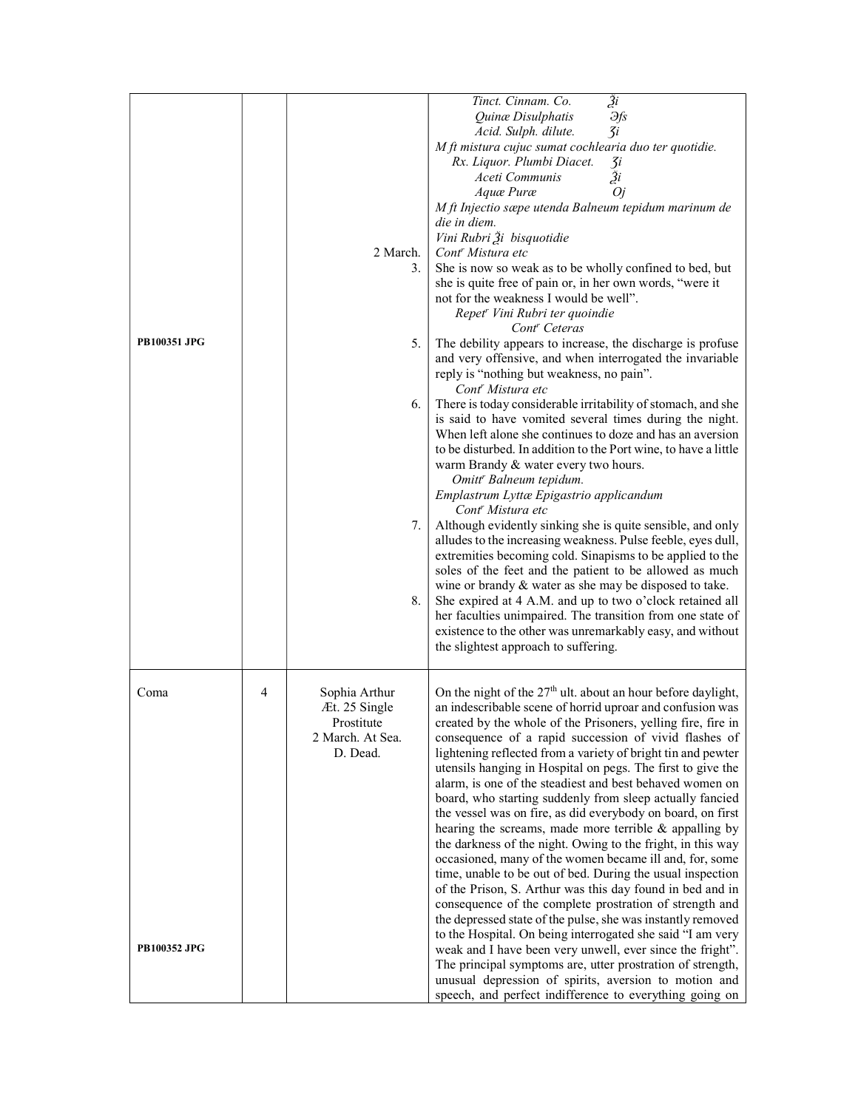| PB100351 JPG                |   | 2 March.<br>3.<br>5.<br>6.<br>7.<br>8.                                       | $\overline{\tilde{z}^i}$<br>Tinct. Cinnam. Co.<br>Quinæ Disulphatis<br><b></b><br>3i<br>Acid. Sulph. dilute.<br>M ft mistura cujuc sumat cochlearia duo ter quotidie.<br>Rx. Liquor. Plumbi Diacet.<br>3i<br>Ži<br>Aceti Communis<br>Aquæ Puræ<br><i>Oj</i><br>M ft Injectio sæpe utenda Balneum tepidum marinum de<br>die in diem.<br>Vini Rubri Ži bisquotidie<br>Cont <sup>r</sup> Mistura etc<br>She is now so weak as to be wholly confined to bed, but<br>she is quite free of pain or, in her own words, "were it<br>not for the weakness I would be well".<br>Repet <sup>r</sup> Vini Rubri ter quoindie<br>Cont <sup>r</sup> Ceteras<br>The debility appears to increase, the discharge is profuse<br>and very offensive, and when interrogated the invariable<br>reply is "nothing but weakness, no pain".<br>Cont <sup>r</sup> Mistura etc<br>There is today considerable irritability of stomach, and she<br>is said to have vomited several times during the night.<br>When left alone she continues to doze and has an aversion<br>to be disturbed. In addition to the Port wine, to have a little<br>warm Brandy & water every two hours.<br>Omitt <sup>r</sup> Balneum tepidum.<br>Emplastrum Lyttæ Epigastrio applicandum<br>Cont <sup>r</sup> Mistura etc<br>Although evidently sinking she is quite sensible, and only<br>alludes to the increasing weakness. Pulse feeble, eyes dull,<br>extremities becoming cold. Sinapisms to be applied to the<br>soles of the feet and the patient to be allowed as much<br>wine or brandy & water as she may be disposed to take.<br>She expired at 4 A.M. and up to two o'clock retained all<br>her faculties unimpaired. The transition from one state of<br>existence to the other was unremarkably easy, and without<br>the slightest approach to suffering. |
|-----------------------------|---|------------------------------------------------------------------------------|----------------------------------------------------------------------------------------------------------------------------------------------------------------------------------------------------------------------------------------------------------------------------------------------------------------------------------------------------------------------------------------------------------------------------------------------------------------------------------------------------------------------------------------------------------------------------------------------------------------------------------------------------------------------------------------------------------------------------------------------------------------------------------------------------------------------------------------------------------------------------------------------------------------------------------------------------------------------------------------------------------------------------------------------------------------------------------------------------------------------------------------------------------------------------------------------------------------------------------------------------------------------------------------------------------------------------------------------------------------------------------------------------------------------------------------------------------------------------------------------------------------------------------------------------------------------------------------------------------------------------------------------------------------------------------------------------------------------------------------------------------------------------------------------------------------------------|
| Coma<br><b>PB100352 JPG</b> | 4 | Sophia Arthur<br>Æt. 25 Single<br>Prostitute<br>2 March. At Sea.<br>D. Dead. | On the night of the 27 <sup>th</sup> ult. about an hour before daylight,<br>an indescribable scene of horrid uproar and confusion was<br>created by the whole of the Prisoners, yelling fire, fire in<br>consequence of a rapid succession of vivid flashes of<br>lightening reflected from a variety of bright tin and pewter<br>utensils hanging in Hospital on pegs. The first to give the<br>alarm, is one of the steadiest and best behaved women on<br>board, who starting suddenly from sleep actually fancied<br>the vessel was on fire, as did everybody on board, on first<br>hearing the screams, made more terrible & appalling by<br>the darkness of the night. Owing to the fright, in this way<br>occasioned, many of the women became ill and, for, some<br>time, unable to be out of bed. During the usual inspection<br>of the Prison, S. Arthur was this day found in bed and in<br>consequence of the complete prostration of strength and<br>the depressed state of the pulse, she was instantly removed<br>to the Hospital. On being interrogated she said "I am very<br>weak and I have been very unwell, ever since the fright".<br>The principal symptoms are, utter prostration of strength,<br>unusual depression of spirits, aversion to motion and<br>speech, and perfect indifference to everything going on                                                                                                                                                                                                                                                                                                                                                                                                                                                                                 |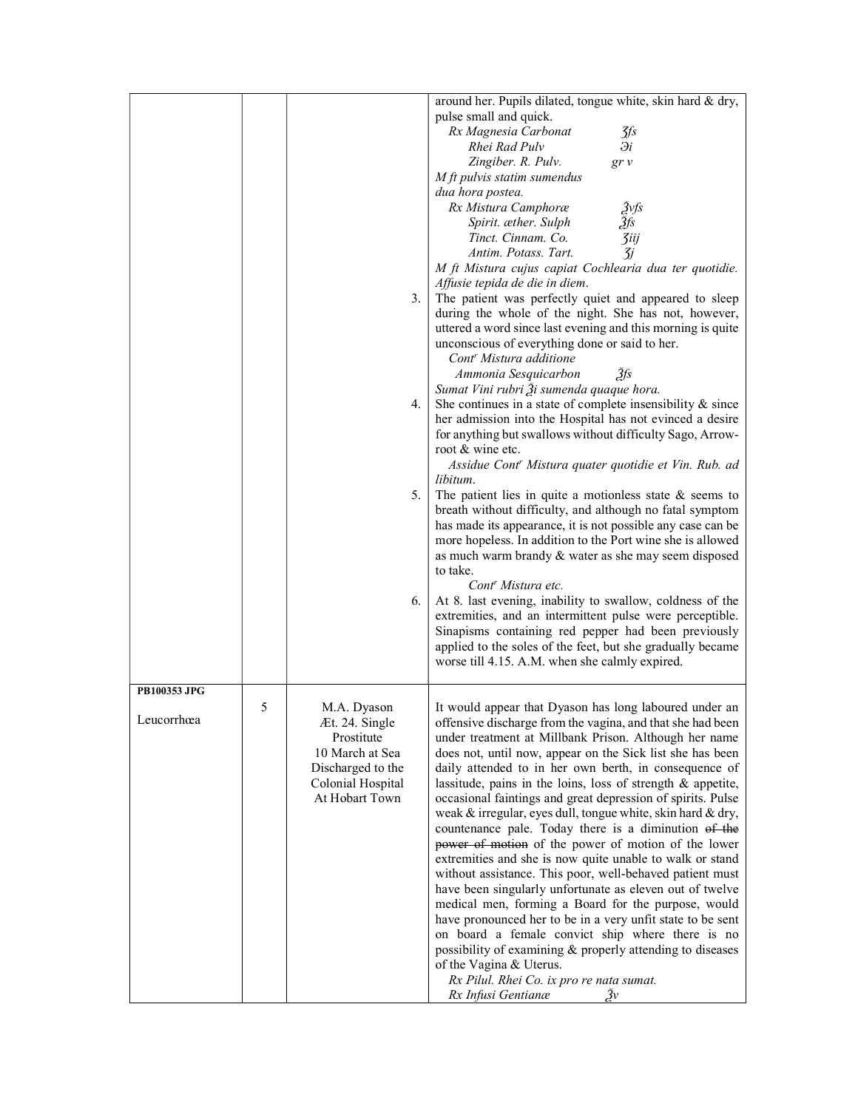|              |   |                   | around her. Pupils dilated, tongue white, skin hard & dry,  |
|--------------|---|-------------------|-------------------------------------------------------------|
|              |   |                   | pulse small and quick.                                      |
|              |   |                   | Rx Magnesia Carbonat<br>$\mathcal{J}\mathit{fs}$            |
|              |   |                   | $\partial i$<br>Rhei Rad Pulv                               |
|              |   |                   | Zingiber. R. Pulv.<br>gr v                                  |
|              |   |                   | M ft pulvis statim sumendus                                 |
|              |   |                   | dua hora postea.                                            |
|              |   |                   | Rx Mistura Camphoræ                                         |
|              |   |                   | Žvfs<br>Žfs<br>Spirit. æther. Sulph                         |
|              |   |                   | <b><i><u>3iij</u></i></b><br>Tinct. Cinnam. Co.             |
|              |   |                   | Antim. Potass. Tart.<br>$\overline{3}j$                     |
|              |   |                   | M ft Mistura cujus capiat Cochlearia dua ter quotidie.      |
|              |   |                   | Affusie tepida de die in diem.                              |
|              |   | 3.                | The patient was perfectly quiet and appeared to sleep       |
|              |   |                   | during the whole of the night. She has not, however,        |
|              |   |                   | uttered a word since last evening and this morning is quite |
|              |   |                   | unconscious of everything done or said to her.              |
|              |   |                   | Cont <sup>r</sup> Mistura additione                         |
|              |   |                   |                                                             |
|              |   |                   | Ammonia Sesquicarbon<br>Зfs                                 |
|              |   |                   | Sumat Vini rubri Ži sumenda quaque hora.                    |
|              |   | 4.                | She continues in a state of complete insensibility & since  |
|              |   |                   | her admission into the Hospital has not evinced a desire    |
|              |   |                   | for anything but swallows without difficulty Sago, Arrow-   |
|              |   |                   | root & wine etc.                                            |
|              |   |                   | Assidue Cont' Mistura quater quotidie et Vin. Rub. ad       |
|              |   |                   | libitum.                                                    |
|              |   | 5.                | The patient lies in quite a motionless state $\&$ seems to  |
|              |   |                   | breath without difficulty, and although no fatal symptom    |
|              |   |                   | has made its appearance, it is not possible any case can be |
|              |   |                   | more hopeless. In addition to the Port wine she is allowed  |
|              |   |                   | as much warm brandy & water as she may seem disposed        |
|              |   |                   | to take.                                                    |
|              |   |                   | Cont <sup>r</sup> Mistura etc.                              |
|              |   | 6.                | At 8. last evening, inability to swallow, coldness of the   |
|              |   |                   | extremities, and an intermittent pulse were perceptible.    |
|              |   |                   | Sinapisms containing red pepper had been previously         |
|              |   |                   | applied to the soles of the feet, but she gradually became  |
|              |   |                   | worse till 4.15. A.M. when she calmly expired.              |
|              |   |                   |                                                             |
| PB100353 JPG |   |                   |                                                             |
|              | 5 | M.A. Dyason       | It would appear that Dyason has long laboured under an      |
| Leucorrhœa   |   | Æt. 24. Single    | offensive discharge from the vagina, and that she had been  |
|              |   | Prostitute        | under treatment at Millbank Prison. Although her name       |
|              |   | 10 March at Sea   | does not, until now, appear on the Sick list she has been   |
|              |   | Discharged to the | daily attended to in her own berth, in consequence of       |
|              |   | Colonial Hospital | lassitude, pains in the loins, loss of strength & appetite, |
|              |   | At Hobart Town    | occasional faintings and great depression of spirits. Pulse |
|              |   |                   | weak & irregular, eyes dull, tongue white, skin hard & dry, |
|              |   |                   | countenance pale. Today there is a diminution of the        |
|              |   |                   | power of motion of the power of motion of the lower         |
|              |   |                   | extremities and she is now quite unable to walk or stand    |
|              |   |                   | without assistance. This poor, well-behaved patient must    |
|              |   |                   | have been singularly unfortunate as eleven out of twelve    |
|              |   |                   | medical men, forming a Board for the purpose, would         |
|              |   |                   | have pronounced her to be in a very unfit state to be sent  |
|              |   |                   | on board a female convict ship where there is no            |
|              |   |                   | possibility of examining & properly attending to diseases   |
|              |   |                   | of the Vagina & Uterus.                                     |
|              |   |                   | Rx Pilul. Rhei Co. ix pro re nata sumat.                    |
|              |   |                   | Rx Infusi Gentianæ<br>$\Im v$                               |
|              |   |                   |                                                             |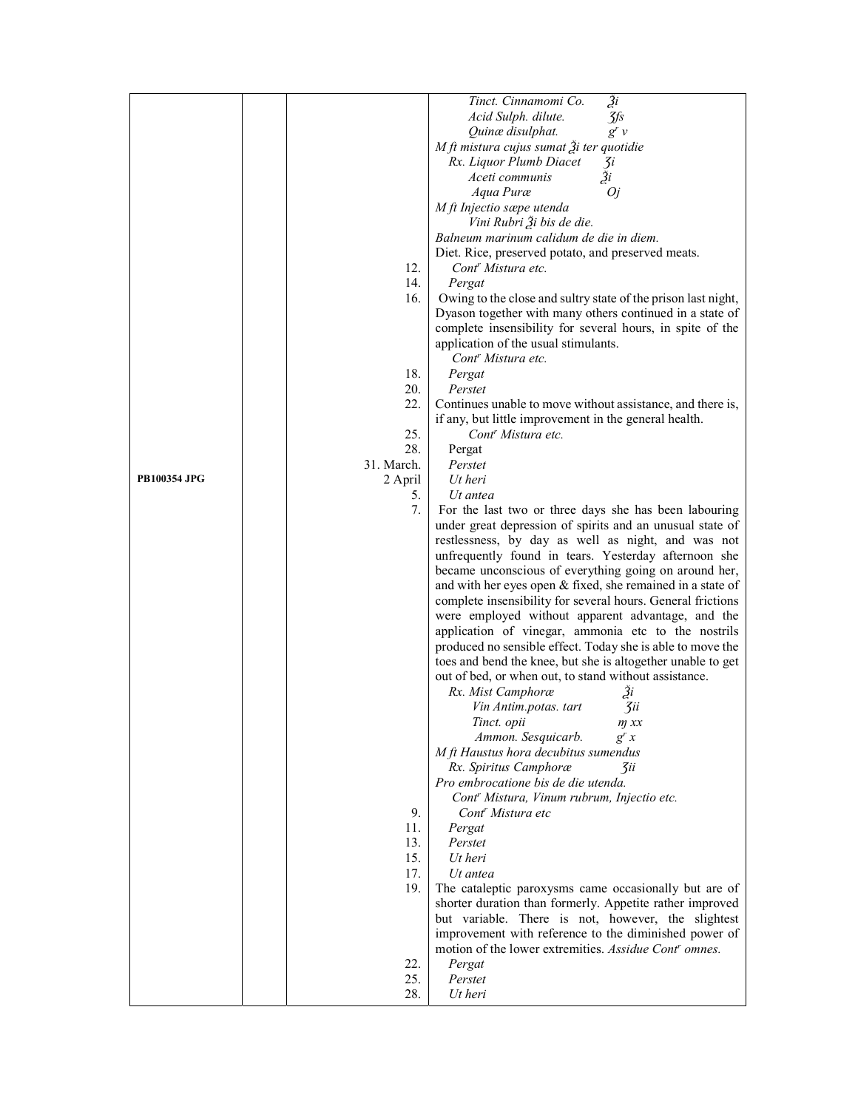|                     |            | Ži<br>Tinct. Cinnamomi Co.                                    |
|---------------------|------------|---------------------------------------------------------------|
|                     |            | Acid Sulph. dilute.<br>Jfs                                    |
|                     |            | Quinæ disulphat.<br>$g'$ $\nu$                                |
|                     |            | M ft mistura cujus sumat $\tilde{A}$ i ter quotidie           |
|                     |            | Rx. Liquor Plumb Diacet<br>3i                                 |
|                     |            | $\tilde{3}i$<br>Aceti communis                                |
|                     |            | Aqua Puræ<br>Oj                                               |
|                     |            | M ft Injectio sæpe utenda                                     |
|                     |            | Vini Rubri Ži bis de die.                                     |
|                     |            | Balneum marinum calidum de die in diem.                       |
|                     |            | Diet. Rice, preserved potato, and preserved meats.            |
|                     | 12.        | Cont <sup>r</sup> Mistura etc.                                |
|                     | 14.        | Pergat                                                        |
|                     | 16.        | Owing to the close and sultry state of the prison last night, |
|                     |            | Dyason together with many others continued in a state of      |
|                     |            | complete insensibility for several hours, in spite of the     |
|                     |            | application of the usual stimulants.                          |
|                     |            | Cont <sup>r</sup> Mistura etc.                                |
|                     | 18.        | Pergat                                                        |
|                     | 20.        | Perstet                                                       |
|                     | 22.        | Continues unable to move without assistance, and there is,    |
|                     |            | if any, but little improvement in the general health.         |
|                     | 25.        | Cont <sup>r</sup> Mistura etc.                                |
|                     | 28.        | Pergat                                                        |
|                     | 31. March. | Perstet                                                       |
| <b>PB100354 JPG</b> | 2 April    | Ut heri                                                       |
|                     | 5.         | Ut antea                                                      |
|                     | 7.         | For the last two or three days she has been labouring         |
|                     |            | under great depression of spirits and an unusual state of     |
|                     |            | restlessness, by day as well as night, and was not            |
|                     |            | unfrequently found in tears. Yesterday afternoon she          |
|                     |            | became unconscious of everything going on around her,         |
|                     |            | and with her eyes open & fixed, she remained in a state of    |
|                     |            | complete insensibility for several hours. General frictions   |
|                     |            | were employed without apparent advantage, and the             |
|                     |            | application of vinegar, ammonia etc to the nostrils           |
|                     |            | produced no sensible effect. Today she is able to move the    |
|                     |            | toes and bend the knee, but she is altogether unable to get   |
|                     |            | out of bed, or when out, to stand without assistance.         |
|                     |            | Rx. Mist Camphoræ<br>$\mathfrak{z}_i$                         |
|                     |            | Vin Antim.potas. tart<br>3ii                                  |
|                     |            | Tinct. opii<br>m xx                                           |
|                     |            | Ammon. Sesquicarb.<br>$g^{r}$ x                               |
|                     |            | M ft Haustus hora decubitus sumendus                          |
|                     |            | Rx. Spiritus Camphoræ<br>3ii                                  |
|                     |            | Pro embrocatione bis de die utenda.                           |
|                     |            | Cont <sup>r</sup> Mistura, Vinum rubrum, Injectio etc.        |
|                     | 9.         | Cont <sup>r</sup> Mistura etc                                 |
|                     | 11.        | Pergat                                                        |
|                     | 13.        | Perstet                                                       |
|                     | 15.        | Ut heri                                                       |
|                     | 17.        | Ut antea                                                      |
|                     | 19.        | The cataleptic paroxysms came occasionally but are of         |
|                     |            | shorter duration than formerly. Appetite rather improved      |
|                     |            | but variable. There is not, however, the slightest            |
|                     |            | improvement with reference to the diminished power of         |
|                     |            | motion of the lower extremities. Assidue Cont' omnes.         |
|                     | 22.        | Pergat                                                        |
|                     | 25.        | Perstet                                                       |
|                     | 28.        | Ut heri                                                       |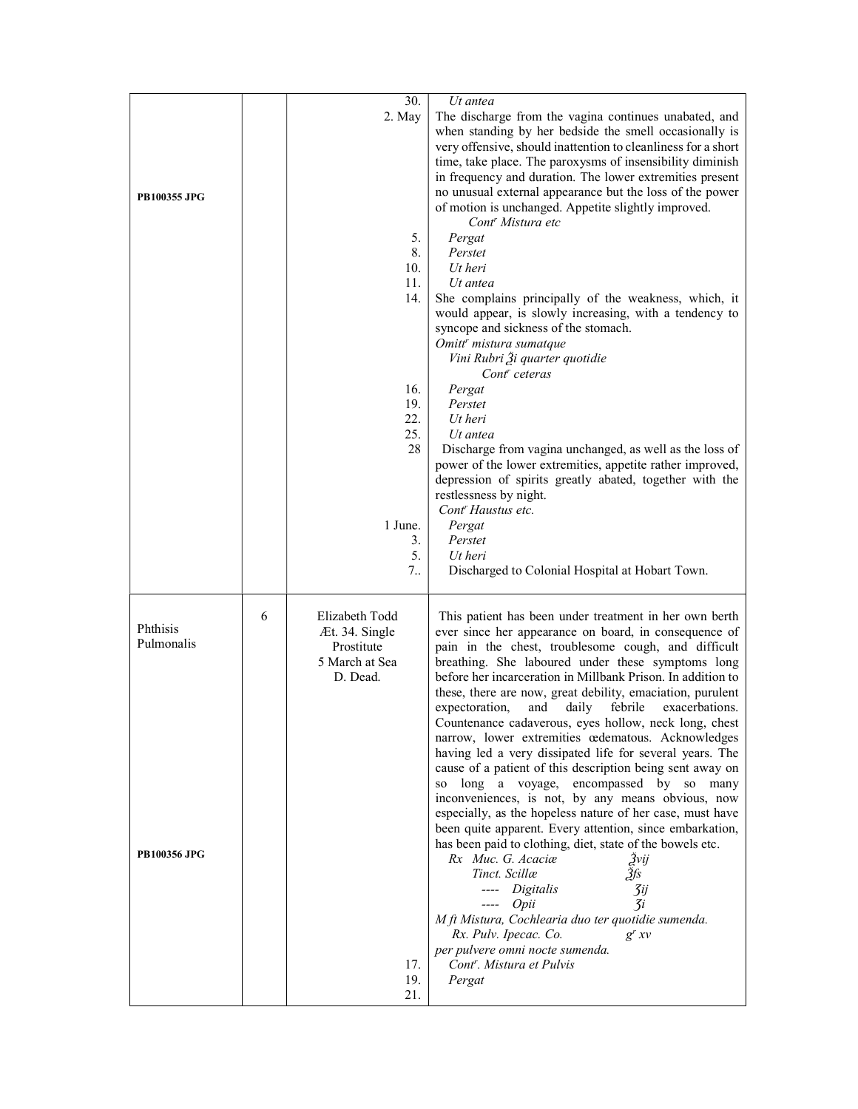| <b>PB100355 JPG</b>                           |   | 30.<br>2. May<br>5.<br>8.<br>10.<br>11.<br>14.<br>16.<br>19.<br>22.<br>25.<br>28<br>1 June.<br>3.<br>5. | Ut antea<br>The discharge from the vagina continues unabated, and<br>when standing by her bedside the smell occasionally is<br>very offensive, should inattention to cleanliness for a short<br>time, take place. The paroxysms of insensibility diminish<br>in frequency and duration. The lower extremities present<br>no unusual external appearance but the loss of the power<br>of motion is unchanged. Appetite slightly improved.<br>Cont <sup>r</sup> Mistura etc<br>Pergat<br>Perstet<br>Ut heri<br>Ut antea<br>She complains principally of the weakness, which, it<br>would appear, is slowly increasing, with a tendency to<br>syncope and sickness of the stomach.<br>Omitt' mistura sumatque<br>Vini Rubri Ži quarter quotidie<br>Cont <sup>r</sup> ceteras<br>Pergat<br>Perstet<br>Ut heri<br>$Ut$ antea<br>Discharge from vagina unchanged, as well as the loss of<br>power of the lower extremities, appetite rather improved,<br>depression of spirits greatly abated, together with the<br>restlessness by night.<br>Cont <sup>r</sup> Haustus etc.<br>Pergat<br>Perstet<br>Ut heri                                                                                                                                                                                        |
|-----------------------------------------------|---|---------------------------------------------------------------------------------------------------------|-----------------------------------------------------------------------------------------------------------------------------------------------------------------------------------------------------------------------------------------------------------------------------------------------------------------------------------------------------------------------------------------------------------------------------------------------------------------------------------------------------------------------------------------------------------------------------------------------------------------------------------------------------------------------------------------------------------------------------------------------------------------------------------------------------------------------------------------------------------------------------------------------------------------------------------------------------------------------------------------------------------------------------------------------------------------------------------------------------------------------------------------------------------------------------------------------------------------------------------------------------------------------------------------------|
| Phthisis<br>Pulmonalis<br><b>PB100356 JPG</b> | 6 | 7<br>Elizabeth Todd<br>Æt. 34. Single<br>Prostitute<br>5 March at Sea<br>D. Dead.<br>17.<br>19.<br>21.  | Discharged to Colonial Hospital at Hobart Town.<br>This patient has been under treatment in her own berth<br>ever since her appearance on board, in consequence of<br>pain in the chest, troublesome cough, and difficult<br>breathing. She laboured under these symptoms long<br>before her incarceration in Millbank Prison. In addition to<br>these, there are now, great debility, emaciation, purulent<br>expectoration, and daily febrile exacerbations.<br>Countenance cadaverous, eyes hollow, neck long, chest<br>narrow, lower extremities œdematous. Acknowledges<br>having led a very dissipated life for several years. The<br>cause of a patient of this description being sent away on<br>so long a voyage, encompassed by so many<br>inconveniences, is not, by any means obvious, now<br>especially, as the hopeless nature of her case, must have<br>been quite apparent. Every attention, since embarkation,<br>has been paid to clothing, diet, state of the bowels etc.<br>Rx Muc. G. Acaciæ<br>Žvij<br>Tinct. Scillæ<br>Ѯfs<br>---- Digitalis<br>3ij<br>$---$ Opii<br>$\mathcal{Z}$ i<br>M ft Mistura, Cochlearia duo ter quotidie sumenda.<br>Rx. Pulv. Ipecac. Co.<br>$g^{r}xy$<br>per pulvere omni nocte sumenda.<br>Cont <sup>r</sup> . Mistura et Pulvis<br>Pergat |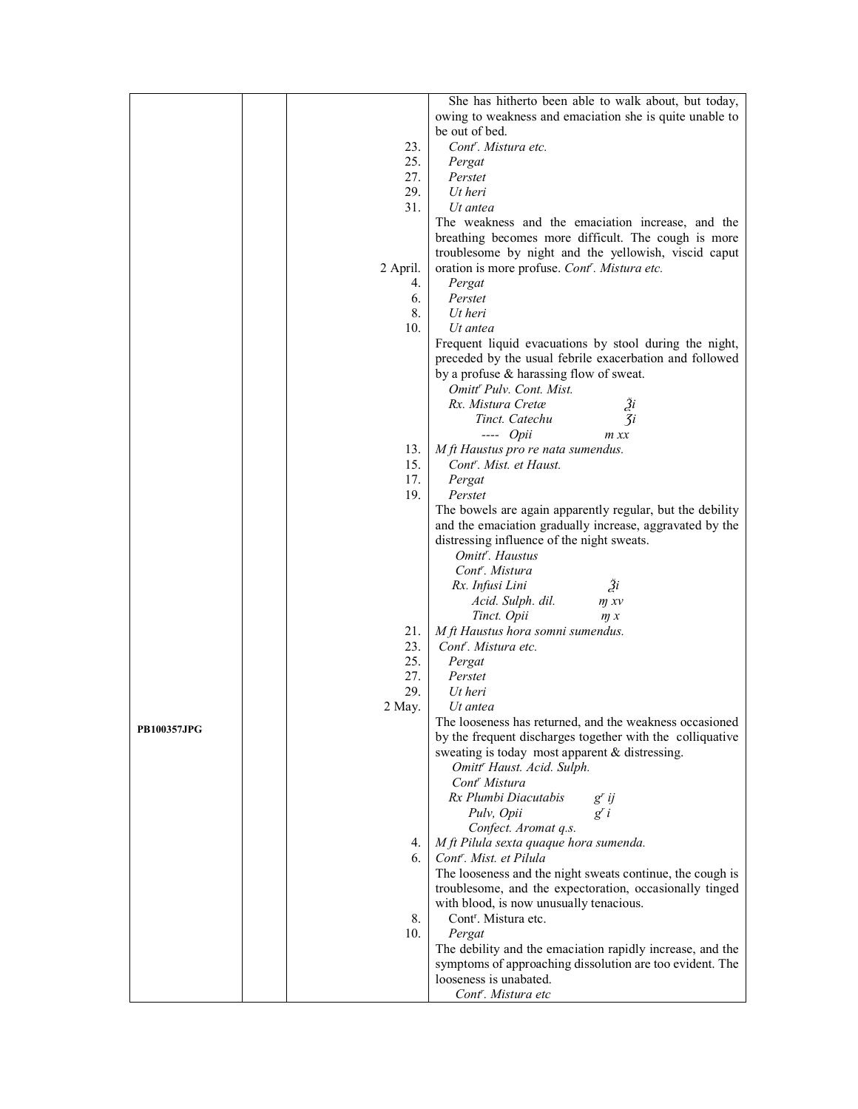|                    |          | She has hitherto been able to walk about, but today,                                                        |
|--------------------|----------|-------------------------------------------------------------------------------------------------------------|
|                    |          | owing to weakness and emaciation she is quite unable to                                                     |
|                    |          | be out of bed.                                                                                              |
|                    | 23.      | Cont <sup>r</sup> . Mistura etc.                                                                            |
|                    | 25.      | Pergat                                                                                                      |
|                    | 27.      | Perstet                                                                                                     |
|                    | 29.      | Ut heri                                                                                                     |
|                    | 31.      | Ut antea                                                                                                    |
|                    |          | The weakness and the emaciation increase, and the                                                           |
|                    |          | breathing becomes more difficult. The cough is more                                                         |
|                    |          | troublesome by night and the yellowish, viscid caput                                                        |
|                    | 2 April. | oration is more profuse. Cont <sup>r</sup> . Mistura etc.                                                   |
|                    | 4.       | Pergat                                                                                                      |
|                    | 6.       | Perstet                                                                                                     |
|                    | 8.       | Ut heri                                                                                                     |
|                    | 10.      | Ut antea                                                                                                    |
|                    |          | Frequent liquid evacuations by stool during the night,                                                      |
|                    |          | preceded by the usual febrile exacerbation and followed                                                     |
|                    |          | by a profuse & harassing flow of sweat.                                                                     |
|                    |          | Omitt <sup>r</sup> Pulv. Cont. Mist.                                                                        |
|                    |          | Rx. Mistura Cretæ<br>Ži                                                                                     |
|                    |          | $\mathcal{I}$ i<br>Tinct. Catechu                                                                           |
|                    |          | $---$ Opii<br>$m$ $xx$                                                                                      |
|                    | 13.      | M ft Haustus pro re nata sumendus.                                                                          |
|                    | 15.      | Cont <sup>r</sup> . Mist. et Haust.                                                                         |
|                    | 17.      | Pergat                                                                                                      |
|                    | 19.      | Perstet                                                                                                     |
|                    |          | The bowels are again apparently regular, but the debility                                                   |
|                    |          | and the emaciation gradually increase, aggravated by the                                                    |
|                    |          | distressing influence of the night sweats.                                                                  |
|                    |          | Omitt <sup>r</sup> . Haustus                                                                                |
|                    |          | Cont <sup>r</sup> . Mistura                                                                                 |
|                    |          | $\tilde{a}$<br>Rx. Infusi Lini                                                                              |
|                    |          | Acid. Sulph. dil.<br>m x v                                                                                  |
|                    |          | Tinct. Opii<br>m x                                                                                          |
|                    | 21.      | M ft Haustus hora somni sumendus.                                                                           |
|                    | 23.      | Cont <sup>r</sup> . Mistura etc.                                                                            |
|                    | 25.      | Pergat                                                                                                      |
|                    | 27.      | Perstet                                                                                                     |
|                    | 29.      | Ut heri                                                                                                     |
|                    | 2 May.   | Ut antea                                                                                                    |
| <b>PB100357JPG</b> |          | The looseness has returned, and the weakness occasioned                                                     |
|                    |          | by the frequent discharges together with the colliquative<br>sweating is today most apparent & distressing. |
|                    |          | Omitt <sup>r</sup> Haust. Acid. Sulph.                                                                      |
|                    |          | Cont <sup>r</sup> Mistura                                                                                   |
|                    |          | Rx Plumbi Diacutabis<br>$g'$ ij                                                                             |
|                    |          | Pulv, Opii<br>$g^{r}$ i                                                                                     |
|                    |          | Confect. Aromat q.s.                                                                                        |
|                    | 4.       | M ft Pilula sexta quaque hora sumenda.                                                                      |
|                    | 6.       | Cont <sup>r</sup> . Mist. et Pilula                                                                         |
|                    |          | The looseness and the night sweats continue, the cough is                                                   |
|                    |          | troublesome, and the expectoration, occasionally tinged                                                     |
|                    |          | with blood, is now unusually tenacious.                                                                     |
|                    | 8.       | Cont <sup>r</sup> . Mistura etc.                                                                            |
|                    | 10.      | Pergat                                                                                                      |
|                    |          | The debility and the emaciation rapidly increase, and the                                                   |
|                    |          | symptoms of approaching dissolution are too evident. The                                                    |
|                    |          | looseness is unabated.                                                                                      |
|                    |          | Cont <sup>r</sup> . Mistura etc                                                                             |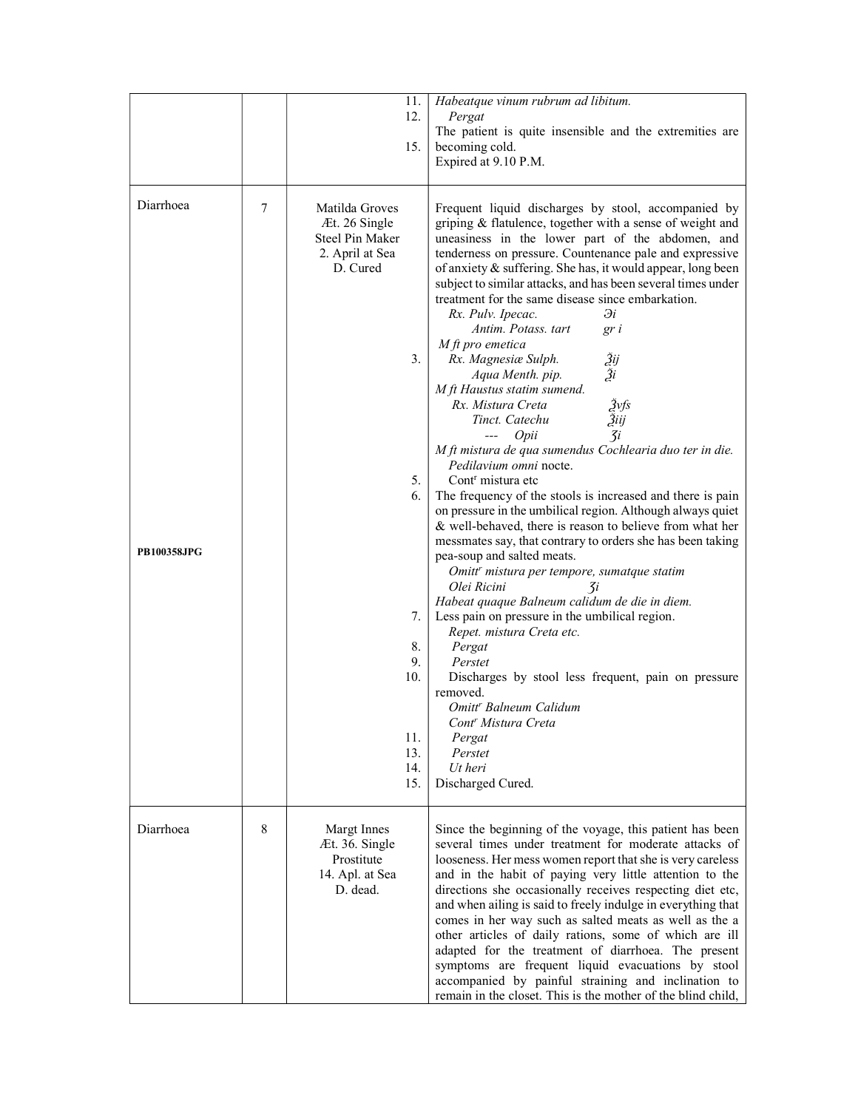|                                 |        | 11.<br>12.<br>15.                                                                                                                                        | Habeatque vinum rubrum ad libitum.<br>Pergat<br>The patient is quite insensible and the extremities are<br>becoming cold.<br>Expired at 9.10 P.M.                                                                                                                                                                                                                                                                                                                                                                                                                                                                                                                                                                                                                                                                                                                                                                                                                                                                                                                                                                                                                                                                                                                                                                                                                                                                                                                                                                                                              |
|---------------------------------|--------|----------------------------------------------------------------------------------------------------------------------------------------------------------|----------------------------------------------------------------------------------------------------------------------------------------------------------------------------------------------------------------------------------------------------------------------------------------------------------------------------------------------------------------------------------------------------------------------------------------------------------------------------------------------------------------------------------------------------------------------------------------------------------------------------------------------------------------------------------------------------------------------------------------------------------------------------------------------------------------------------------------------------------------------------------------------------------------------------------------------------------------------------------------------------------------------------------------------------------------------------------------------------------------------------------------------------------------------------------------------------------------------------------------------------------------------------------------------------------------------------------------------------------------------------------------------------------------------------------------------------------------------------------------------------------------------------------------------------------------|
| Diarrhoea<br><b>PB100358JPG</b> | $\tau$ | Matilda Groves<br>Æt. 26 Single<br>Steel Pin Maker<br>2. April at Sea<br>D. Cured<br>3.<br>5.<br>6.<br>7.<br>8.<br>9.<br>10.<br>11.<br>13.<br>14.<br>15. | Frequent liquid discharges by stool, accompanied by<br>griping & flatulence, together with a sense of weight and<br>uneasiness in the lower part of the abdomen, and<br>tenderness on pressure. Countenance pale and expressive<br>of anxiety & suffering. She has, it would appear, long been<br>subject to similar attacks, and has been several times under<br>treatment for the same disease since embarkation.<br>Эi<br>Rx. Pulv. Ipecac.<br>Antim. Potass. tart<br>gr i<br>$M$ ft pro emetica<br>Žij<br>Ži<br>Rx. Magnesiæ Sulph.<br>Aqua Menth. pip.<br>M ft Haustus statim sumend.<br>Žvfs<br>Rx. Mistura Creta<br>Žiij<br>Tinct. Catechu<br>$\overline{3}i$<br>Opii<br>$\qquad \qquad - -$<br>M ft mistura de qua sumendus Cochlearia duo ter in die.<br>Pedilavium omni nocte.<br>Cont <sup>r</sup> mistura etc<br>The frequency of the stools is increased and there is pain<br>on pressure in the umbilical region. Although always quiet<br>& well-behaved, there is reason to believe from what her<br>messmates say, that contrary to orders she has been taking<br>pea-soup and salted meats.<br>Omitt <sup>r</sup> mistura per tempore, sumatque statim<br>Olei Ricini<br>$\mathcal{I}$<br>Habeat quaque Balneum calidum de die in diem.<br>Less pain on pressure in the umbilical region.<br>Repet. mistura Creta etc.<br>Pergat<br>Perstet<br>Discharges by stool less frequent, pain on pressure<br>removed.<br>Omitt <sup>r</sup> Balneum Calidum<br>Cont <sup>r</sup> Mistura Creta<br>Pergat<br>Perstet<br>Ut heri<br>Discharged Cured. |
| Diarrhoea                       | 8      | Margt Innes<br>Æt. 36. Single<br>Prostitute<br>14. Apl. at Sea<br>D. dead.                                                                               | Since the beginning of the voyage, this patient has been<br>several times under treatment for moderate attacks of<br>looseness. Her mess women report that she is very careless<br>and in the habit of paying very little attention to the<br>directions she occasionally receives respecting diet etc,<br>and when ailing is said to freely indulge in everything that<br>comes in her way such as salted meats as well as the a<br>other articles of daily rations, some of which are ill<br>adapted for the treatment of diarrhoea. The present<br>symptoms are frequent liquid evacuations by stool<br>accompanied by painful straining and inclination to<br>remain in the closet. This is the mother of the blind child,                                                                                                                                                                                                                                                                                                                                                                                                                                                                                                                                                                                                                                                                                                                                                                                                                                 |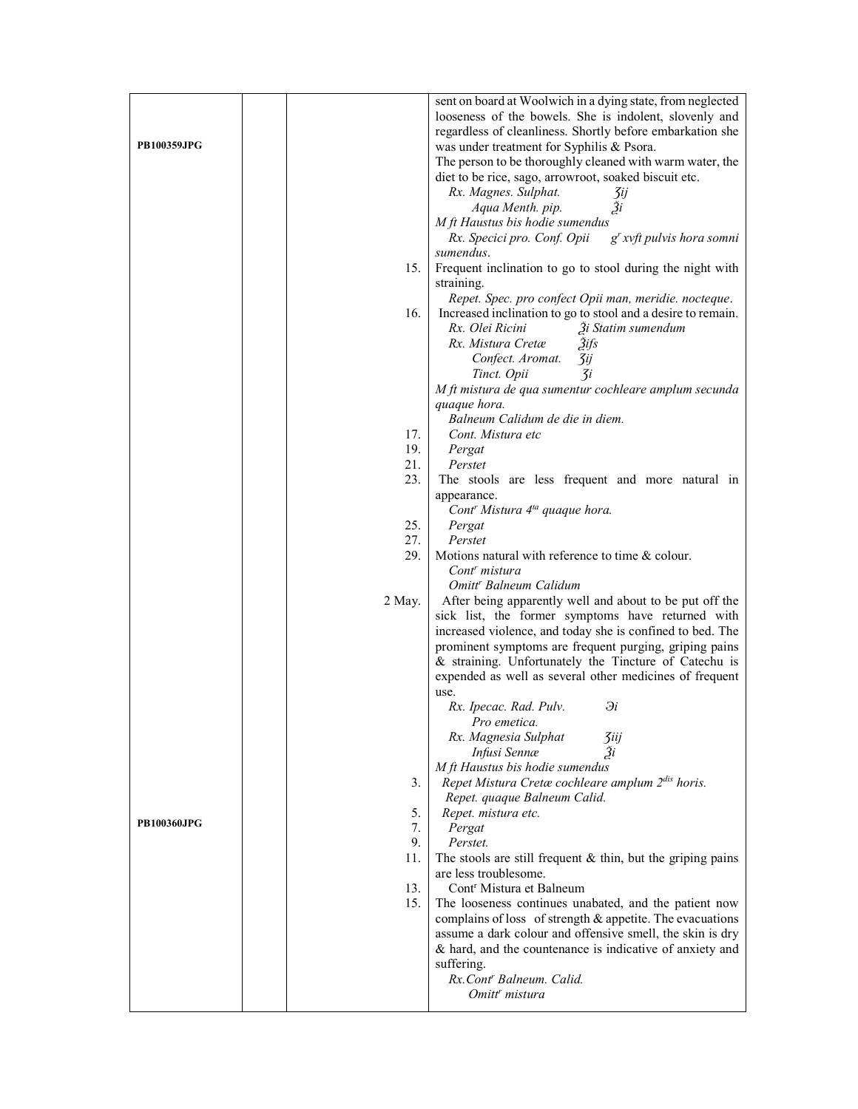| <b>PB100359JPG</b> |                   | sent on board at Woolwich in a dying state, from neglected<br>looseness of the bowels. She is indolent, slovenly and<br>regardless of cleanliness. Shortly before embarkation she<br>was under treatment for Syphilis & Psora.<br>The person to be thoroughly cleaned with warm water, the<br>diet to be rice, sago, arrowroot, soaked biscuit etc.<br>Rx. Magnes. Sulphat.<br>3ij<br>Ži<br>Aqua Menth. pip.<br>M ft Haustus bis hodie sumendus<br>g' xvft pulvis hora somni<br>Rx. Specici pro. Conf. Opii |
|--------------------|-------------------|-------------------------------------------------------------------------------------------------------------------------------------------------------------------------------------------------------------------------------------------------------------------------------------------------------------------------------------------------------------------------------------------------------------------------------------------------------------------------------------------------------------|
|                    | 15.               | sumendus.<br>Frequent inclination to go to stool during the night with<br>straining.                                                                                                                                                                                                                                                                                                                                                                                                                        |
|                    | 16.               | Repet. Spec. pro confect Opii man, meridie. nocteque.<br>Increased inclination to go to stool and a desire to remain.<br>Rx. Olei Ricini<br>3i Statim sumendum<br>Rx. Mistura Cretæ<br><i><u><b>Aifs</b></u></i><br>Confect. Aromat.<br>3ij<br>$\mathcal{Z}$ i<br>Tinct. Opii                                                                                                                                                                                                                               |
|                    |                   | M ft mistura de qua sumentur cochleare amplum secunda<br>quaque hora.<br>Balneum Calidum de die in diem.                                                                                                                                                                                                                                                                                                                                                                                                    |
|                    | 17.<br>19.<br>21. | Cont. Mistura etc<br>Pergat<br>Perstet                                                                                                                                                                                                                                                                                                                                                                                                                                                                      |
|                    | 23.               | The stools are less frequent and more natural in<br>appearance.                                                                                                                                                                                                                                                                                                                                                                                                                                             |
|                    | 25.               | Cont <sup>r</sup> Mistura 4 <sup>ta</sup> quaque hora.<br>Pergat                                                                                                                                                                                                                                                                                                                                                                                                                                            |
|                    | 27.<br>29.        | Perstet<br>Motions natural with reference to time & colour.<br>Cont <sup>r</sup> mistura                                                                                                                                                                                                                                                                                                                                                                                                                    |
|                    | 2 May.            | Omitt <sup>r</sup> Balneum Calidum<br>After being apparently well and about to be put off the<br>sick list, the former symptoms have returned with<br>increased violence, and today she is confined to bed. The<br>prominent symptoms are frequent purging, griping pains<br>& straining. Unfortunately the Tincture of Catechu is<br>expended as well as several other medicines of frequent                                                                                                               |
|                    |                   | use.<br>Rx. Ipecac. Rad. Pulv.<br>Эi<br>Pro emetica.                                                                                                                                                                                                                                                                                                                                                                                                                                                        |
|                    | 3.                | Rx. Magnesia Sulphat<br>3iij<br>Infusi Sennæ<br>Зi<br>M ft Haustus bis hodie sumendus<br>Repet Mistura Cretæ cochleare amplum 2dis horis.                                                                                                                                                                                                                                                                                                                                                                   |
| <b>PB100360JPG</b> | 5.<br>7.<br>9.    | Repet. quaque Balneum Calid.<br>Repet. mistura etc.<br>Pergat<br>Perstet.                                                                                                                                                                                                                                                                                                                                                                                                                                   |
|                    | 11.               | The stools are still frequent $&$ thin, but the griping pains<br>are less troublesome.                                                                                                                                                                                                                                                                                                                                                                                                                      |
|                    | 13.<br>15.        | Cont <sup>r</sup> Mistura et Balneum<br>The looseness continues unabated, and the patient now<br>complains of loss of strength & appetite. The evacuations<br>assume a dark colour and offensive smell, the skin is dry<br>& hard, and the countenance is indicative of anxiety and<br>suffering.<br>Rx.Cont' Balneum. Calid.                                                                                                                                                                               |
|                    |                   | Omitt <sup>r</sup> mistura                                                                                                                                                                                                                                                                                                                                                                                                                                                                                  |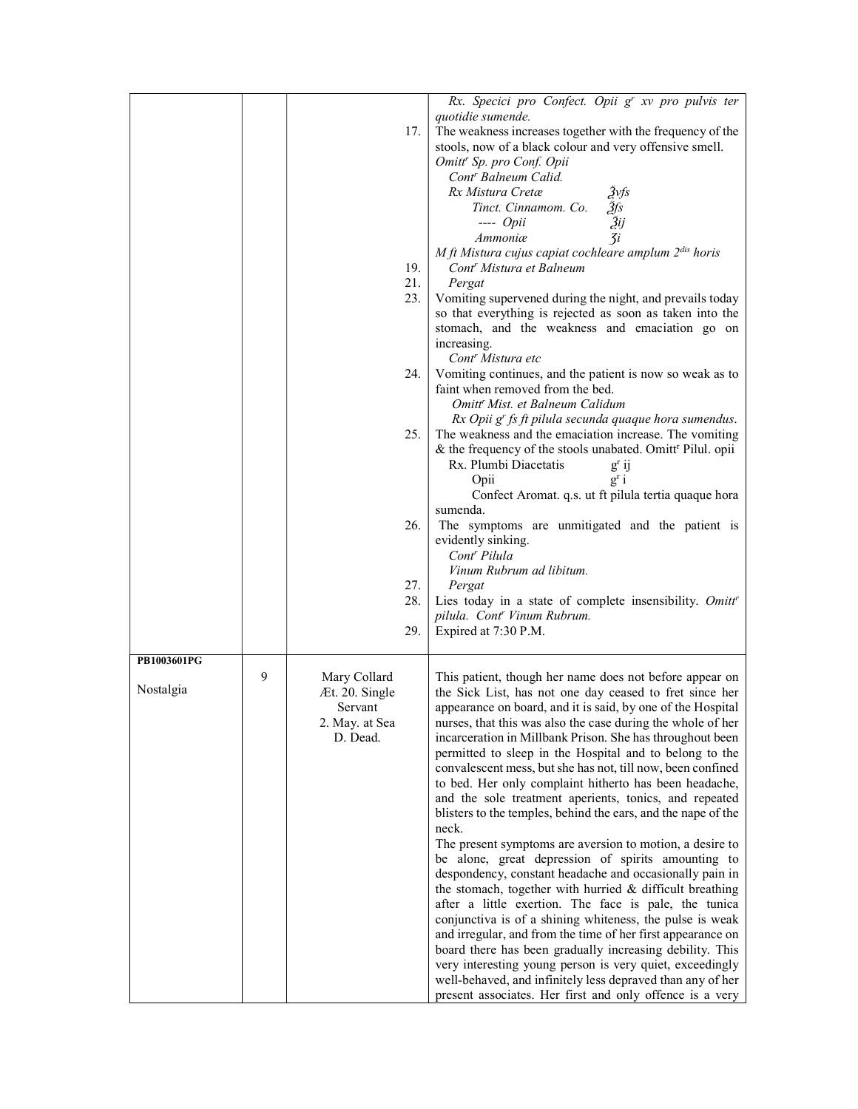|             |   | 17.                                                                     | Rx. Specici pro Confect. Opii g' xv pro pulvis ter<br>quotidie sumende.<br>The weakness increases together with the frequency of the<br>stools, now of a black colour and very offensive smell.<br>Omitt <sup>r</sup> Sp. pro Conf. Opii<br>Cont <sup>r</sup> Balneum Calid.<br>Rx Mistura Cretæ<br>2vfs<br>$\overline{3}$ fs<br>Tinct. Cinnamom. Co.<br>$\begin{array}{c} \tilde{3}ij \\ \tilde{3}i \end{array}$<br>$---$ <i>Opii</i><br>Ammoniæ<br>M ft Mistura cujus capiat cochleare amplum 2dis horis                                                                                                                                                                                                                                                                                                                                                                                                                                                                                                                                                                                                                                                                                                                                                                                                           |
|-------------|---|-------------------------------------------------------------------------|----------------------------------------------------------------------------------------------------------------------------------------------------------------------------------------------------------------------------------------------------------------------------------------------------------------------------------------------------------------------------------------------------------------------------------------------------------------------------------------------------------------------------------------------------------------------------------------------------------------------------------------------------------------------------------------------------------------------------------------------------------------------------------------------------------------------------------------------------------------------------------------------------------------------------------------------------------------------------------------------------------------------------------------------------------------------------------------------------------------------------------------------------------------------------------------------------------------------------------------------------------------------------------------------------------------------|
|             |   | 19.<br>21.<br>23.                                                       | Cont <sup>r</sup> Mistura et Balneum<br>Pergat<br>Vomiting supervened during the night, and prevails today<br>so that everything is rejected as soon as taken into the<br>stomach, and the weakness and emaciation go on<br>increasing.<br>Cont <sup>r</sup> Mistura etc                                                                                                                                                                                                                                                                                                                                                                                                                                                                                                                                                                                                                                                                                                                                                                                                                                                                                                                                                                                                                                             |
|             |   | 24.                                                                     | Vomiting continues, and the patient is now so weak as to<br>faint when removed from the bed.<br>Omitt <sup>r</sup> Mist. et Balneum Calidum<br>Rx Opii g' fs ft pilula secunda quaque hora sumendus.                                                                                                                                                                                                                                                                                                                                                                                                                                                                                                                                                                                                                                                                                                                                                                                                                                                                                                                                                                                                                                                                                                                 |
|             |   | 25.                                                                     | The weakness and the emaciation increase. The vomiting<br>& the frequency of the stools unabated. Omitt <sup>r</sup> Pilul. opii<br>Rx. Plumbi Diacetatis<br>$g^{r}$ ij<br>Opii<br>$g^{r}$ i<br>Confect Aromat. q.s. ut ft pilula tertia quaque hora                                                                                                                                                                                                                                                                                                                                                                                                                                                                                                                                                                                                                                                                                                                                                                                                                                                                                                                                                                                                                                                                 |
|             |   | 26.                                                                     | sumenda.<br>The symptoms are unmitigated and the patient is<br>evidently sinking.<br>Cont <sup>r</sup> Pilula<br>Vinum Rubrum ad libitum.                                                                                                                                                                                                                                                                                                                                                                                                                                                                                                                                                                                                                                                                                                                                                                                                                                                                                                                                                                                                                                                                                                                                                                            |
|             |   | 27.<br>28.<br>29.                                                       | Pergat<br>Lies today in a state of complete insensibility. Omitt'<br>pilula. Cont <sup>r</sup> Vinum Rubrum.<br>Expired at 7:30 P.M.                                                                                                                                                                                                                                                                                                                                                                                                                                                                                                                                                                                                                                                                                                                                                                                                                                                                                                                                                                                                                                                                                                                                                                                 |
| PB1003601PG |   |                                                                         |                                                                                                                                                                                                                                                                                                                                                                                                                                                                                                                                                                                                                                                                                                                                                                                                                                                                                                                                                                                                                                                                                                                                                                                                                                                                                                                      |
| Nostalgia   | 9 | Mary Collard<br>Æt. 20. Single<br>Servant<br>2. May. at Sea<br>D. Dead. | This patient, though her name does not before appear on<br>the Sick List, has not one day ceased to fret since her<br>appearance on board, and it is said, by one of the Hospital<br>nurses, that this was also the case during the whole of her<br>incarceration in Millbank Prison. She has throughout been<br>permitted to sleep in the Hospital and to belong to the<br>convalescent mess, but she has not, till now, been confined<br>to bed. Her only complaint hitherto has been headache,<br>and the sole treatment aperients, tonics, and repeated<br>blisters to the temples, behind the ears, and the nape of the<br>neck.<br>The present symptoms are aversion to motion, a desire to<br>be alone, great depression of spirits amounting to<br>despondency, constant headache and occasionally pain in<br>the stomach, together with hurried & difficult breathing<br>after a little exertion. The face is pale, the tunica<br>conjunctiva is of a shining whiteness, the pulse is weak<br>and irregular, and from the time of her first appearance on<br>board there has been gradually increasing debility. This<br>very interesting young person is very quiet, exceedingly<br>well-behaved, and infinitely less depraved than any of her<br>present associates. Her first and only offence is a very |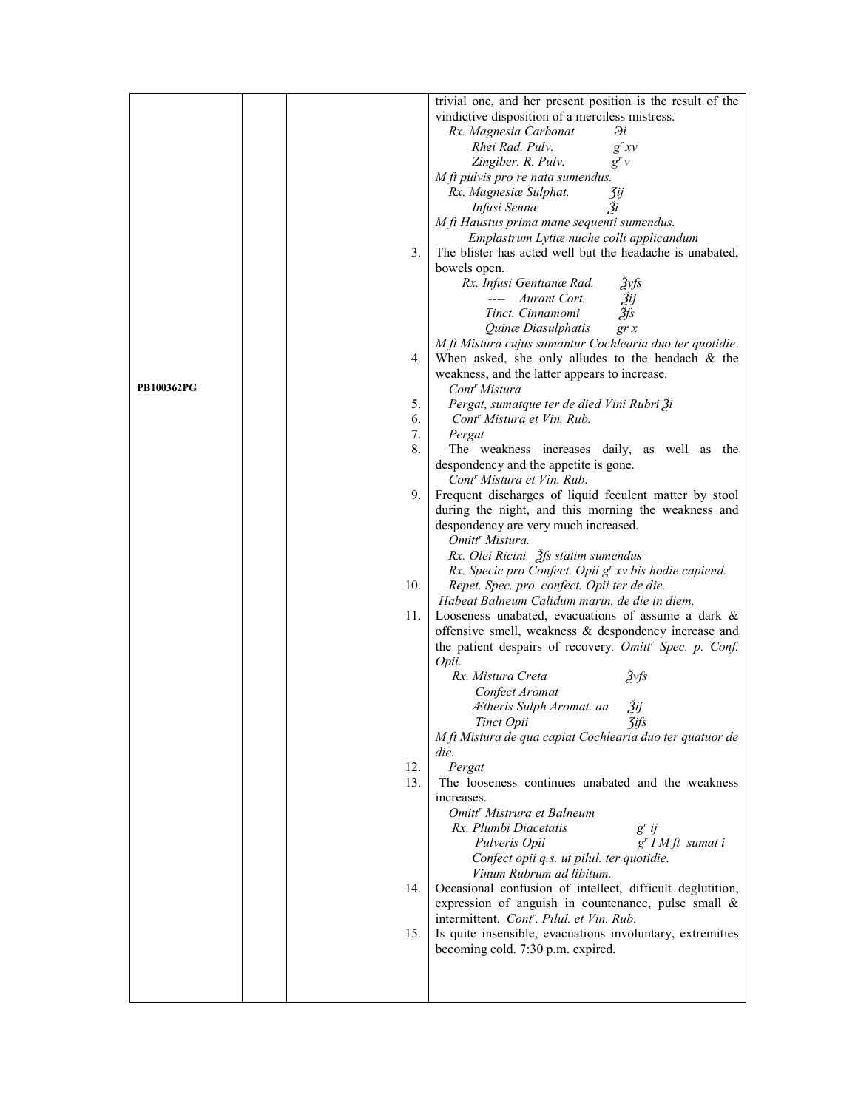|                   |     | trivial one, and her present position is the result of the      |
|-------------------|-----|-----------------------------------------------------------------|
|                   |     | vindictive disposition of a merciless mistress.                 |
|                   |     | Rx. Magnesia Carbonat<br>Эi                                     |
|                   |     | Rhei Rad. Pulv.<br>$g^{r}xy$                                    |
|                   |     | Zingiber. R. Pulv.<br>g'v                                       |
|                   |     | M ft pulvis pro re nata sumendus.                               |
|                   |     | Rx. Magnesiæ Sulphat.<br>3ij                                    |
|                   |     | Зi<br>Infusi Sennæ                                              |
|                   |     | M ft Haustus prima mane sequenti sumendus.                      |
|                   |     | Emplastrum Lyttæ nuche colli applicandum                        |
|                   | 3.  | The blister has acted well but the headache is unabated,        |
|                   |     | bowels open.                                                    |
|                   |     | Rx. Infusi Gentianæ Rad.<br>2vfs                                |
|                   |     | Aurant Cort.<br>Žij                                             |
|                   |     | Žfs<br>Tinct. Cinnamomi                                         |
|                   |     | Quinæ Diasulphatis<br>gr x                                      |
|                   |     | M ft Mistura cujus sumantur Cochlearia duo ter quotidie.        |
|                   | 4.  | When asked, she only alludes to the headach $&$ the             |
| <b>PB100362PG</b> |     | weakness, and the latter appears to increase.                   |
|                   | 5.  | Cont <sup>r</sup> Mistura                                       |
|                   | 6.  | Pergat, sumatque ter de died Vini Rubri Ži                      |
|                   | 7.  | Cont <sup>r</sup> Mistura et Vin. Rub.<br>Pergat                |
|                   | 8.  | The weakness increases daily, as well as the                    |
|                   |     | despondency and the appetite is gone.                           |
|                   |     | Cont <sup>r</sup> Mistura et Vin. Rub.                          |
|                   | 9.  | Frequent discharges of liquid feculent matter by stool          |
|                   |     | during the night, and this morning the weakness and             |
|                   |     | despondency are very much increased.                            |
|                   |     | Omitt <sup>r</sup> Mistura.                                     |
|                   |     | Rx. Olei Ricini 3fs statim sumendus                             |
|                   |     | Rx. Specic pro Confect. Opii g' xv bis hodie capiend.           |
|                   | 10. | Repet. Spec. pro. confect. Opii ter de die.                     |
|                   |     | Habeat Balneum Calidum marin, de die in diem.                   |
|                   | 11. | Looseness unabated, evacuations of assume a dark $\&$           |
|                   |     | offensive smell, weakness & despondency increase and            |
|                   |     | the patient despairs of recovery. Omitt' Spec. p. Conf.         |
|                   |     | Opii.                                                           |
|                   |     | Žvfs<br>Rx. Mistura Creta                                       |
|                   |     | Confect Aromat                                                  |
|                   |     | Žij<br>Ætheris Sulph Aromat. aa                                 |
|                   |     | Tinct Opii<br><b>3ifs</b>                                       |
|                   |     | M ft Mistura de qua capiat Cochlearia duo ter quatuor de        |
|                   |     | die.                                                            |
|                   | 12. | Pergat                                                          |
|                   | 13. | The looseness continues unabated and the weakness<br>increases. |
|                   |     | Omitt <sup>r</sup> Mistrura et Balneum                          |
|                   |     | Rx. Plumbi Diacetatis                                           |
|                   |     | $g'$ ij<br>$g^{r}$ I M ft sumat i<br>Pulveris Opii              |
|                   |     | Confect opii q.s. ut pilul. ter quotidie.                       |
|                   |     | Vinum Rubrum ad libitum.                                        |
|                   | 14. | Occasional confusion of intellect, difficult deglutition,       |
|                   |     | expression of anguish in countenance, pulse small &             |
|                   |     | intermittent. Cont'. Pilul. et Vin. Rub.                        |
|                   | 15. | Is quite insensible, evacuations involuntary, extremities       |
|                   |     | becoming cold. 7:30 p.m. expired.                               |
|                   |     |                                                                 |
|                   |     |                                                                 |
|                   |     |                                                                 |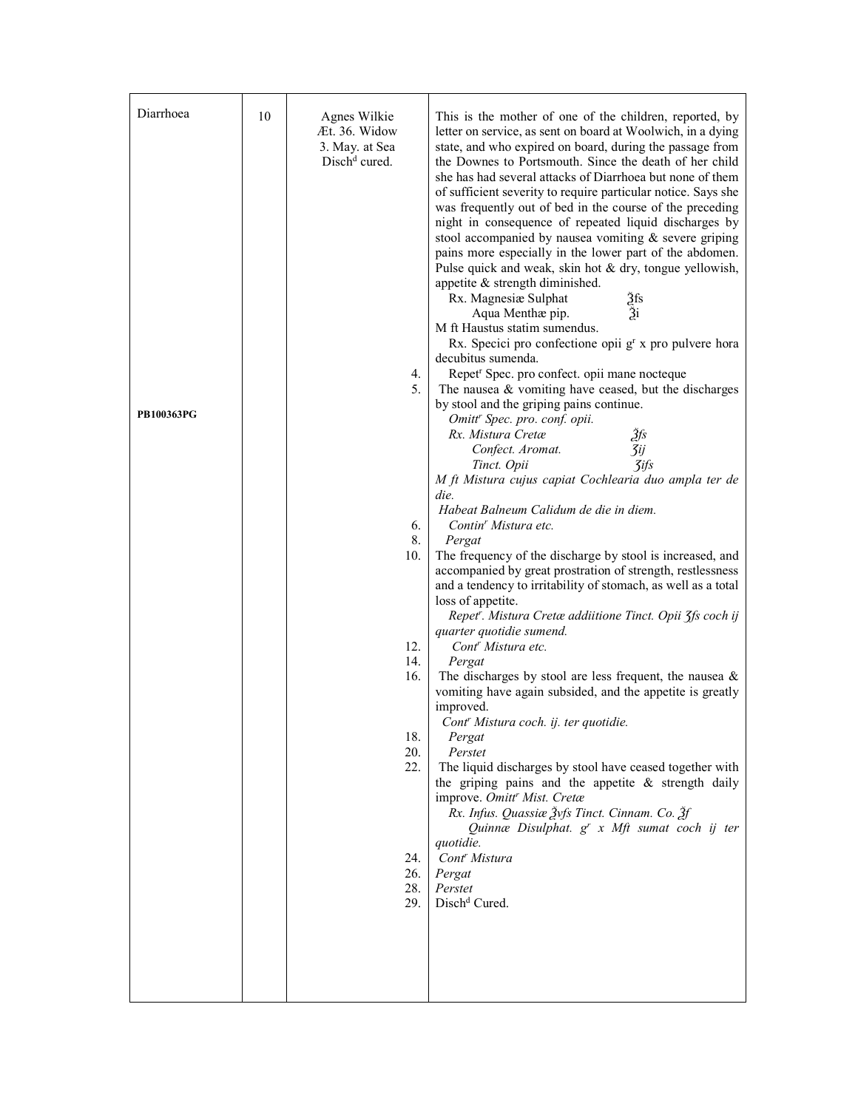| Diarrhoea         | 10 | Agnes Wilkie<br>Æt. 36. Widow<br>3. May. at Sea | This is the mother of one of the children, reported, by<br>letter on service, as sent on board at Woolwich, in a dying<br>state, and who expired on board, during the passage from                                                                                                                                                                                                                                                                                                                                                                     |
|-------------------|----|-------------------------------------------------|--------------------------------------------------------------------------------------------------------------------------------------------------------------------------------------------------------------------------------------------------------------------------------------------------------------------------------------------------------------------------------------------------------------------------------------------------------------------------------------------------------------------------------------------------------|
|                   |    | $Dischd$ cured.                                 | the Downes to Portsmouth. Since the death of her child<br>she has had several attacks of Diarrhoea but none of them<br>of sufficient severity to require particular notice. Says she<br>was frequently out of bed in the course of the preceding<br>night in consequence of repeated liquid discharges by<br>stool accompanied by nausea vomiting $\&$ severe griping<br>pains more especially in the lower part of the abdomen.<br>Pulse quick and weak, skin hot & dry, tongue yellowish,<br>appetite & strength diminished.<br>Rx. Magnesiæ Sulphat |
|                   |    |                                                 | Žfs<br>Ži<br>Aqua Menthae pip.<br>M ft Haustus statim sumendus.<br>Rx. Specici pro confectione opii g <sup>r</sup> x pro pulvere hora<br>decubitus sumenda.                                                                                                                                                                                                                                                                                                                                                                                            |
|                   |    | 4.                                              | Repet <sup>r</sup> Spec. pro confect. opii mane nocteque                                                                                                                                                                                                                                                                                                                                                                                                                                                                                               |
|                   |    | 5.                                              | The nausea $&$ vomiting have ceased, but the discharges                                                                                                                                                                                                                                                                                                                                                                                                                                                                                                |
| <b>PB100363PG</b> |    |                                                 | by stool and the griping pains continue.<br>Omitt <sup>r</sup> Spec. pro. conf. opii.                                                                                                                                                                                                                                                                                                                                                                                                                                                                  |
|                   |    |                                                 | Žfs<br>Rx. Mistura Cretæ                                                                                                                                                                                                                                                                                                                                                                                                                                                                                                                               |
|                   |    |                                                 | <b>3ij</b><br>Confect. Aromat.                                                                                                                                                                                                                                                                                                                                                                                                                                                                                                                         |
|                   |    |                                                 | <b>3ifs</b><br>Tinct. Opii<br>M ft Mistura cujus capiat Cochlearia duo ampla ter de                                                                                                                                                                                                                                                                                                                                                                                                                                                                    |
|                   |    |                                                 | die.                                                                                                                                                                                                                                                                                                                                                                                                                                                                                                                                                   |
|                   |    |                                                 | Habeat Balneum Calidum de die in diem.                                                                                                                                                                                                                                                                                                                                                                                                                                                                                                                 |
|                   |    | 6.<br>8.                                        | Contin <sup>r</sup> Mistura etc.                                                                                                                                                                                                                                                                                                                                                                                                                                                                                                                       |
|                   |    | 10.                                             | Pergat<br>The frequency of the discharge by stool is increased, and                                                                                                                                                                                                                                                                                                                                                                                                                                                                                    |
|                   |    |                                                 | accompanied by great prostration of strength, restlessness<br>and a tendency to irritability of stomach, as well as a total                                                                                                                                                                                                                                                                                                                                                                                                                            |
|                   |    |                                                 | loss of appetite.<br>Repet". Mistura Cretæ addiitione Tinct. Opii 3fs coch ij                                                                                                                                                                                                                                                                                                                                                                                                                                                                          |
|                   |    | 12.                                             | quarter quotidie sumend.<br>Cont <sup>r</sup> Mistura etc.                                                                                                                                                                                                                                                                                                                                                                                                                                                                                             |
|                   |    | 14.<br>16.                                      | Pergat                                                                                                                                                                                                                                                                                                                                                                                                                                                                                                                                                 |
|                   |    |                                                 | The discharges by stool are less frequent, the nausea $\&$<br>vomiting have again subsided, and the appetite is greatly<br>improved.                                                                                                                                                                                                                                                                                                                                                                                                                   |
|                   |    | 18.                                             | Cont' Mistura coch. ij. ter quotidie.<br>Pergat                                                                                                                                                                                                                                                                                                                                                                                                                                                                                                        |
|                   |    | 20.                                             | Perstet                                                                                                                                                                                                                                                                                                                                                                                                                                                                                                                                                |
|                   |    | 22.                                             | The liquid discharges by stool have ceased together with                                                                                                                                                                                                                                                                                                                                                                                                                                                                                               |
|                   |    |                                                 | the griping pains and the appetite $\&$ strength daily<br>improve. Omitt' Mist. Cretæ<br>Rx. Infus. Quassiæ Žvfs Tinct. Cinnam. Co. Žf                                                                                                                                                                                                                                                                                                                                                                                                                 |
|                   |    |                                                 | Quinnæ Disulphat. g' x Mft sumat coch ij ter                                                                                                                                                                                                                                                                                                                                                                                                                                                                                                           |
|                   |    |                                                 | quotidie.                                                                                                                                                                                                                                                                                                                                                                                                                                                                                                                                              |
|                   |    | 24.<br>26.                                      | Cont <sup>r</sup> Mistura<br>Pergat                                                                                                                                                                                                                                                                                                                                                                                                                                                                                                                    |
|                   |    | 28.                                             | Perstet                                                                                                                                                                                                                                                                                                                                                                                                                                                                                                                                                |
|                   |    | 29.                                             | Disch <sup>d</sup> Cured.                                                                                                                                                                                                                                                                                                                                                                                                                                                                                                                              |
|                   |    |                                                 |                                                                                                                                                                                                                                                                                                                                                                                                                                                                                                                                                        |
|                   |    |                                                 |                                                                                                                                                                                                                                                                                                                                                                                                                                                                                                                                                        |
|                   |    |                                                 |                                                                                                                                                                                                                                                                                                                                                                                                                                                                                                                                                        |
|                   |    |                                                 |                                                                                                                                                                                                                                                                                                                                                                                                                                                                                                                                                        |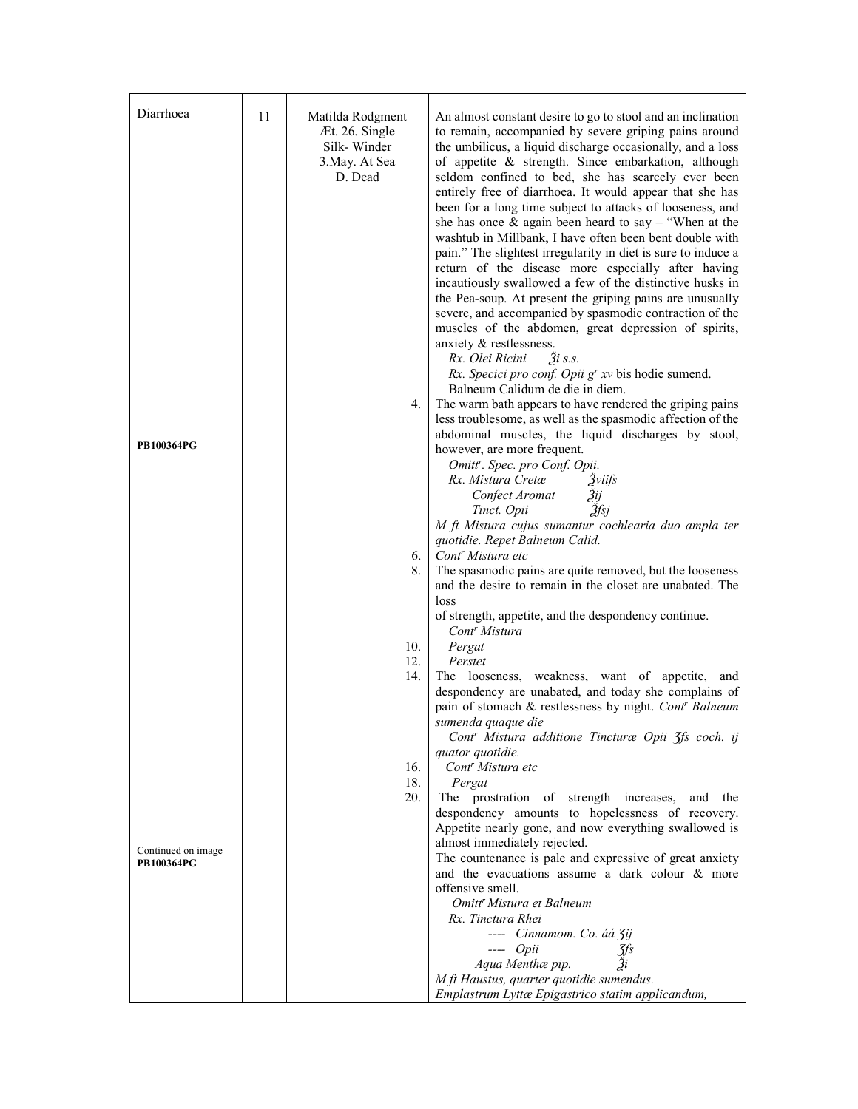| Diarrhoea          | 11 | Matilda Rodgment<br>Æt. 26. Single             | An almost constant desire to go to stool and an inclination<br>to remain, accompanied by severe griping pains around                                                                                                                                                                                                                                                                                                                                                                                                                                                                                                                                                                                                                                                                                                                                                                                                                                                                                                                                                                                                                                                  |
|--------------------|----|------------------------------------------------|-----------------------------------------------------------------------------------------------------------------------------------------------------------------------------------------------------------------------------------------------------------------------------------------------------------------------------------------------------------------------------------------------------------------------------------------------------------------------------------------------------------------------------------------------------------------------------------------------------------------------------------------------------------------------------------------------------------------------------------------------------------------------------------------------------------------------------------------------------------------------------------------------------------------------------------------------------------------------------------------------------------------------------------------------------------------------------------------------------------------------------------------------------------------------|
| <b>PB100364PG</b>  |    | Silk-Winder<br>3. May. At Sea<br>D. Dead<br>4. | the umbilicus, a liquid discharge occasionally, and a loss<br>of appetite & strength. Since embarkation, although<br>seldom confined to bed, she has scarcely ever been<br>entirely free of diarrhoea. It would appear that she has<br>been for a long time subject to attacks of looseness, and<br>she has once $\&$ again been heard to say – "When at the<br>washtub in Millbank, I have often been bent double with<br>pain." The slightest irregularity in diet is sure to induce a<br>return of the disease more especially after having<br>incautiously swallowed a few of the distinctive husks in<br>the Pea-soup. At present the griping pains are unusually<br>severe, and accompanied by spasmodic contraction of the<br>muscles of the abdomen, great depression of spirits,<br>anxiety & restlessness.<br>Rx. Olei Ricini<br>$\tilde{a}$ is.s.<br>Rx. Specici pro conf. Opii g' xv bis hodie sumend.<br>Balneum Calidum de die in diem.<br>The warm bath appears to have rendered the griping pains<br>less troublesome, as well as the spasmodic affection of the<br>abdominal muscles, the liquid discharges by stool,<br>however, are more frequent. |
|                    |    | 6.                                             | Omitt'. Spec. pro Conf. Opii.<br>Rx. Mistura Cretæ<br>Žviifs<br>Confect Aromat<br>Зij<br>Žfsj<br>Tinct. Opii<br>M ft Mistura cujus sumantur cochlearia duo ampla ter<br>quotidie. Repet Balneum Calid.<br>Cont <sup>r</sup> Mistura etc                                                                                                                                                                                                                                                                                                                                                                                                                                                                                                                                                                                                                                                                                                                                                                                                                                                                                                                               |
|                    |    | 8.                                             | The spasmodic pains are quite removed, but the looseness<br>and the desire to remain in the closet are unabated. The<br>loss                                                                                                                                                                                                                                                                                                                                                                                                                                                                                                                                                                                                                                                                                                                                                                                                                                                                                                                                                                                                                                          |
|                    |    | 10.                                            | of strength, appetite, and the despondency continue.<br>Cont <sup>r</sup> Mistura<br>Pergat                                                                                                                                                                                                                                                                                                                                                                                                                                                                                                                                                                                                                                                                                                                                                                                                                                                                                                                                                                                                                                                                           |
|                    |    | 12.                                            | Perstet                                                                                                                                                                                                                                                                                                                                                                                                                                                                                                                                                                                                                                                                                                                                                                                                                                                                                                                                                                                                                                                                                                                                                               |
|                    |    | 14.                                            | The looseness, weakness, want of appetite, and<br>despondency are unabated, and today she complains of<br>pain of stomach & restlessness by night. Cont' Balneum<br>sumenda quaque die                                                                                                                                                                                                                                                                                                                                                                                                                                                                                                                                                                                                                                                                                                                                                                                                                                                                                                                                                                                |
|                    |    |                                                | Cont' Mistura additione Tincturæ Opii 3fs coch. ij<br>quator quotidie.                                                                                                                                                                                                                                                                                                                                                                                                                                                                                                                                                                                                                                                                                                                                                                                                                                                                                                                                                                                                                                                                                                |
|                    |    | 16.<br>18.                                     | Cont <sup>r</sup> Mistura etc<br>Pergat                                                                                                                                                                                                                                                                                                                                                                                                                                                                                                                                                                                                                                                                                                                                                                                                                                                                                                                                                                                                                                                                                                                               |
|                    |    | 20.                                            | The prostration of strength increases, and the<br>despondency amounts to hopelessness of recovery.                                                                                                                                                                                                                                                                                                                                                                                                                                                                                                                                                                                                                                                                                                                                                                                                                                                                                                                                                                                                                                                                    |
| Continued on image |    |                                                | Appetite nearly gone, and now everything swallowed is<br>almost immediately rejected.                                                                                                                                                                                                                                                                                                                                                                                                                                                                                                                                                                                                                                                                                                                                                                                                                                                                                                                                                                                                                                                                                 |
| <b>PB100364PG</b>  |    |                                                | The countenance is pale and expressive of great anxiety<br>and the evacuations assume a dark colour & more<br>offensive smell.                                                                                                                                                                                                                                                                                                                                                                                                                                                                                                                                                                                                                                                                                                                                                                                                                                                                                                                                                                                                                                        |
|                    |    |                                                | Omitt <sup>r</sup> Mistura et Balneum                                                                                                                                                                                                                                                                                                                                                                                                                                                                                                                                                                                                                                                                                                                                                                                                                                                                                                                                                                                                                                                                                                                                 |
|                    |    |                                                | Rx. Tinctura Rhei<br>---- Cinnamom. Co. áá 3ij                                                                                                                                                                                                                                                                                                                                                                                                                                                                                                                                                                                                                                                                                                                                                                                                                                                                                                                                                                                                                                                                                                                        |
|                    |    |                                                | $---$ Opii<br>Jfs                                                                                                                                                                                                                                                                                                                                                                                                                                                                                                                                                                                                                                                                                                                                                                                                                                                                                                                                                                                                                                                                                                                                                     |
|                    |    |                                                | Aqua Menthæ pip.                                                                                                                                                                                                                                                                                                                                                                                                                                                                                                                                                                                                                                                                                                                                                                                                                                                                                                                                                                                                                                                                                                                                                      |
|                    |    |                                                | M ft Haustus, quarter quotidie sumendus.<br>Emplastrum Lyttæ Epigastrico statim applicandum,                                                                                                                                                                                                                                                                                                                                                                                                                                                                                                                                                                                                                                                                                                                                                                                                                                                                                                                                                                                                                                                                          |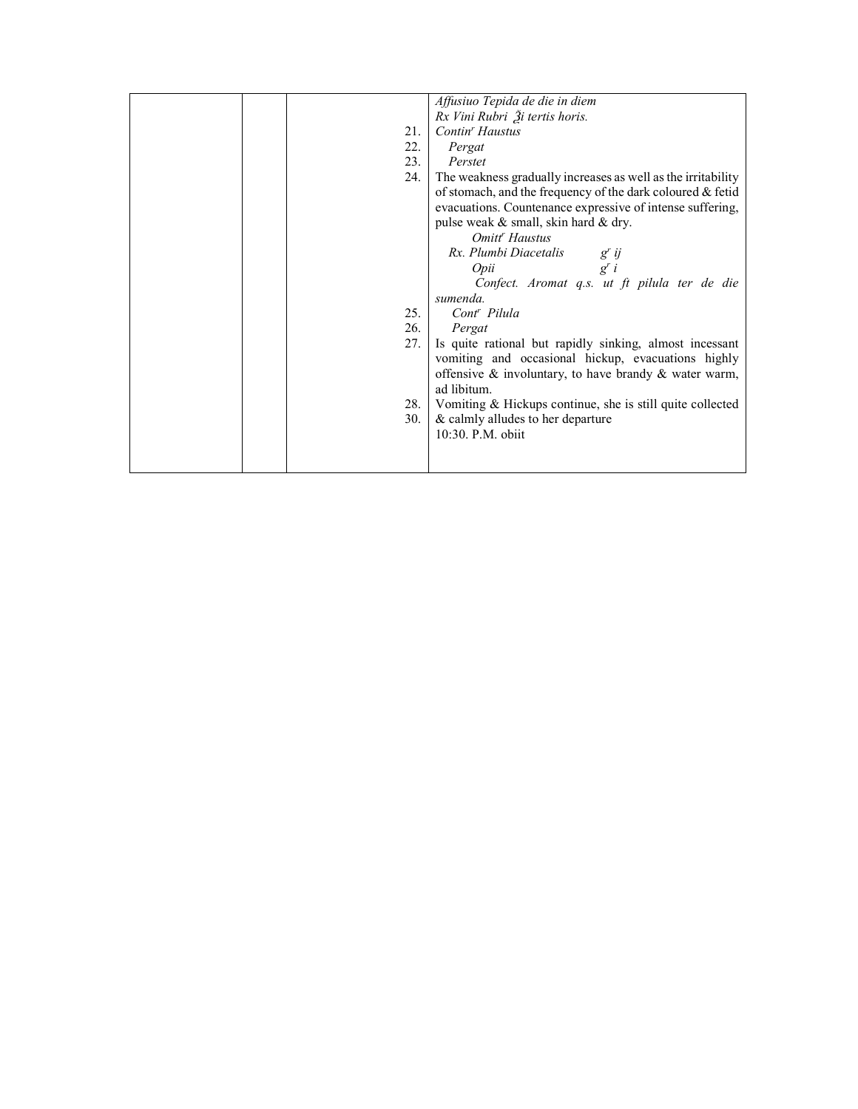|  |     | Affusiuo Tepida de die in diem                               |
|--|-----|--------------------------------------------------------------|
|  |     | Rx Vini Rubri Ži tertis horis.                               |
|  | 21. | Contin' Haustus                                              |
|  | 22. | Pergat                                                       |
|  | 23. | Perstet                                                      |
|  | 24. | The weakness gradually increases as well as the irritability |
|  |     | of stomach, and the frequency of the dark coloured & fetid   |
|  |     | evacuations. Countenance expressive of intense suffering,    |
|  |     | pulse weak & small, skin hard & dry.                         |
|  |     | Omitt <sup>r</sup> Haustus                                   |
|  |     | Rx. Plumbi Diacetalis<br>$g^{r}$ ij                          |
|  |     | Opii<br>$g^{r}$ i                                            |
|  |     | Confect. Aromat q.s. ut ft pilula ter de die                 |
|  |     | sumenda.                                                     |
|  | 25. | Cont <sup>r</sup> Pilula                                     |
|  | 26. | Pergat                                                       |
|  | 27. | Is quite rational but rapidly sinking, almost incessant      |
|  |     | vomiting and occasional hickup, evacuations highly           |
|  |     | offensive $\&$ involuntary, to have brandy $\&$ water warm,  |
|  |     | ad libitum.                                                  |
|  | 28. | Vomiting & Hickups continue, she is still quite collected    |
|  | 30. | & calmly alludes to her departure                            |
|  |     | 10:30. P.M. obiit                                            |
|  |     |                                                              |
|  |     |                                                              |
|  |     |                                                              |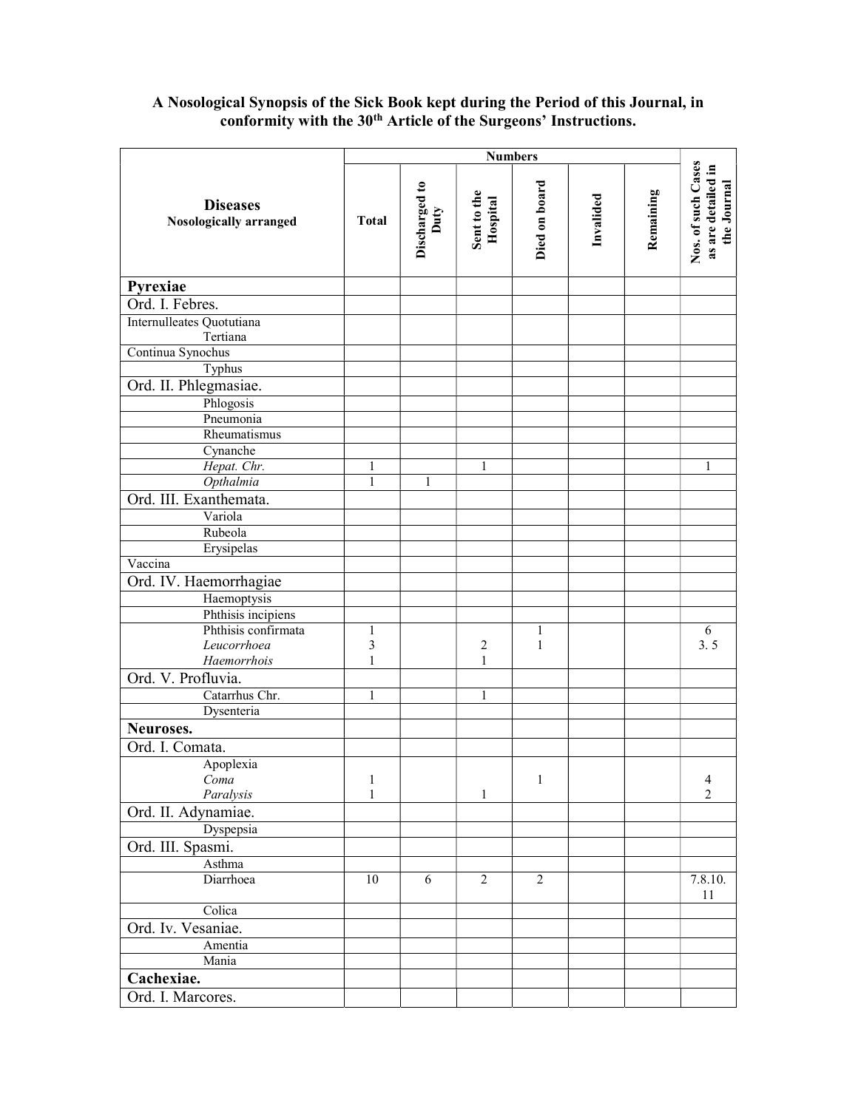## A Nosological Synopsis of the Sick Book kept during the Period of this Journal, in conformity with the 30<sup>th</sup> Article of the Surgeons' Instructions.

|                                                  |              | <b>Numbers</b>        |                         |                |           |           |                                                         |
|--------------------------------------------------|--------------|-----------------------|-------------------------|----------------|-----------|-----------|---------------------------------------------------------|
| <b>Diseases</b><br><b>Nosologically arranged</b> | <b>Total</b> | Discharged to<br>Duty | Sent to the<br>Hospital | Died on board  | Invalided | Remaining | Nos. of such Cases<br>as are detailed in<br>the Journal |
| Pyrexiae                                         |              |                       |                         |                |           |           |                                                         |
| Ord. I. Febres.                                  |              |                       |                         |                |           |           |                                                         |
| Internulleates Quotutiana<br>Tertiana            |              |                       |                         |                |           |           |                                                         |
| Continua Synochus                                |              |                       |                         |                |           |           |                                                         |
| Typhus                                           |              |                       |                         |                |           |           |                                                         |
| Ord. II. Phlegmasiae.                            |              |                       |                         |                |           |           |                                                         |
| Phlogosis                                        |              |                       |                         |                |           |           |                                                         |
| Pneumonia                                        |              |                       |                         |                |           |           |                                                         |
| Rheumatismus                                     |              |                       |                         |                |           |           |                                                         |
| Cynanche                                         |              |                       |                         |                |           |           |                                                         |
| Hepat. Chr.                                      |              |                       | 1                       |                |           |           | 1                                                       |
| Opthalmia                                        | 1            | 1                     |                         |                |           |           |                                                         |
| Ord. III. Exanthemata.                           |              |                       |                         |                |           |           |                                                         |
| Variola                                          |              |                       |                         |                |           |           |                                                         |
| Rubeola                                          |              |                       |                         |                |           |           |                                                         |
| Erysipelas                                       |              |                       |                         |                |           |           |                                                         |
| Vaccina                                          |              |                       |                         |                |           |           |                                                         |
| Ord. IV. Haemorrhagiae                           |              |                       |                         |                |           |           |                                                         |
| Haemoptysis                                      |              |                       |                         |                |           |           |                                                         |
| Phthisis incipiens                               |              |                       |                         |                |           |           |                                                         |
| Phthisis confirmata                              | $\mathbf{1}$ |                       |                         | $\mathbf{1}$   |           |           | $\boldsymbol{6}$                                        |
| Leucorrhoea                                      | 3            |                       | $\overline{c}$          | $\mathbf{1}$   |           |           | 3.5                                                     |
| Haemorrhois                                      | $\mathbf{1}$ |                       | $\mathbf{1}$            |                |           |           |                                                         |
| Ord. V. Profluvia.                               |              |                       |                         |                |           |           |                                                         |
| Catarrhus Chr.                                   | 1            |                       | 1                       |                |           |           |                                                         |
| Dysenteria                                       |              |                       |                         |                |           |           |                                                         |
| Neuroses.                                        |              |                       |                         |                |           |           |                                                         |
| Ord. I. Comata.                                  |              |                       |                         |                |           |           |                                                         |
| Apoplexia                                        |              |                       |                         |                |           |           |                                                         |
| Coma                                             | 1            |                       |                         | 1              |           |           | $\overline{4}$                                          |
| Paralysis                                        | 1            |                       | $\mathbf{1}$            |                |           |           | 2                                                       |
| Ord. II. Adynamiae.                              |              |                       |                         |                |           |           |                                                         |
| Dyspepsia                                        |              |                       |                         |                |           |           |                                                         |
| Ord. III. Spasmi.                                |              |                       |                         |                |           |           |                                                         |
| Asthma                                           |              |                       |                         |                |           |           |                                                         |
| Diarrhoea                                        | 10           | 6                     | $\overline{2}$          | $\overline{2}$ |           |           | 7.8.10.<br>11                                           |
| Colica                                           |              |                       |                         |                |           |           |                                                         |
| Ord. Iv. Vesaniae.                               |              |                       |                         |                |           |           |                                                         |
| Amentia                                          |              |                       |                         |                |           |           |                                                         |
| Mania                                            |              |                       |                         |                |           |           |                                                         |
| Cachexiae.                                       |              |                       |                         |                |           |           |                                                         |
| Ord. I. Marcores.                                |              |                       |                         |                |           |           |                                                         |
|                                                  |              |                       |                         |                |           |           |                                                         |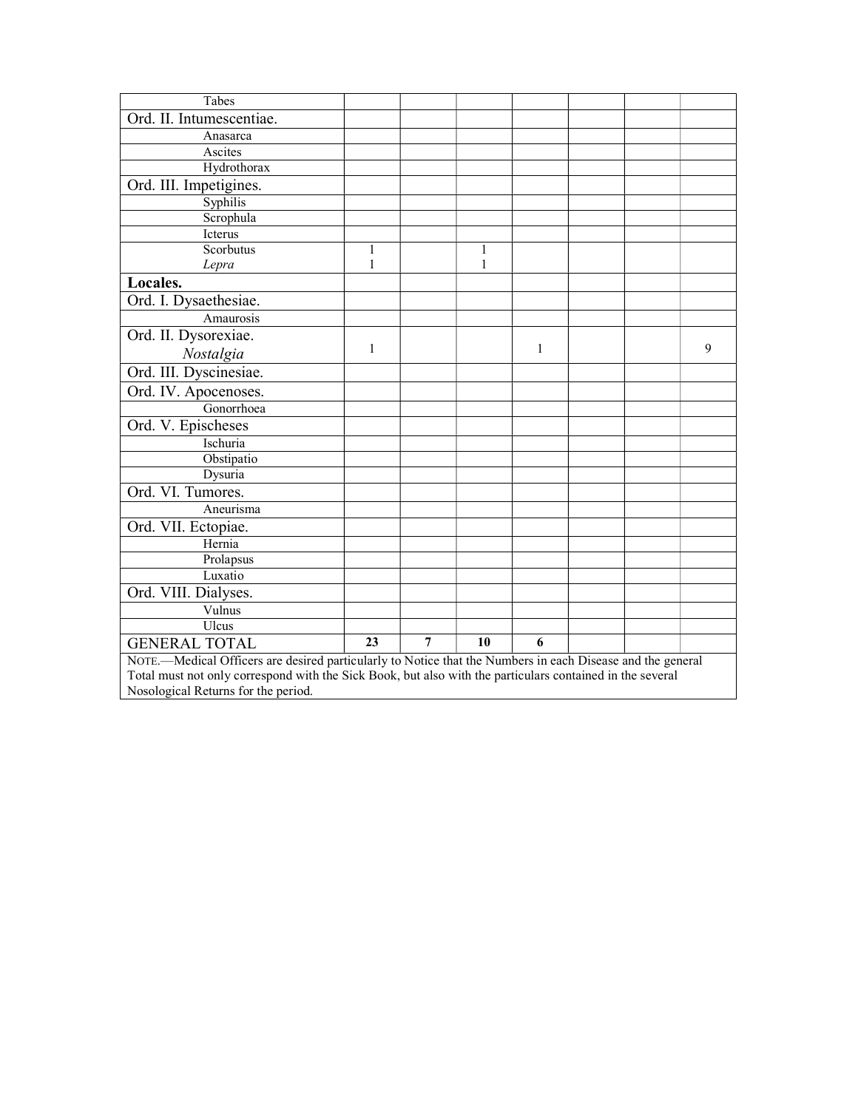| Tabes                                                                                                      |              |   |              |   |  |  |   |  |
|------------------------------------------------------------------------------------------------------------|--------------|---|--------------|---|--|--|---|--|
| Ord. II. Intumescentiae.                                                                                   |              |   |              |   |  |  |   |  |
| Anasarca                                                                                                   |              |   |              |   |  |  |   |  |
| Ascites                                                                                                    |              |   |              |   |  |  |   |  |
| Hydrothorax                                                                                                |              |   |              |   |  |  |   |  |
| Ord. III. Impetigines.                                                                                     |              |   |              |   |  |  |   |  |
| Syphilis                                                                                                   |              |   |              |   |  |  |   |  |
| Scrophula                                                                                                  |              |   |              |   |  |  |   |  |
| Icterus                                                                                                    |              |   |              |   |  |  |   |  |
| Scorbutus                                                                                                  | 1            |   | 1            |   |  |  |   |  |
| Lepra                                                                                                      | 1            |   | $\mathbf{1}$ |   |  |  |   |  |
| Locales.                                                                                                   |              |   |              |   |  |  |   |  |
| Ord. I. Dysaethesiae.                                                                                      |              |   |              |   |  |  |   |  |
| Amaurosis                                                                                                  |              |   |              |   |  |  |   |  |
| Ord. II. Dysorexiae.                                                                                       |              |   |              |   |  |  |   |  |
| Nostalgia                                                                                                  | $\mathbf{1}$ |   |              | 1 |  |  | 9 |  |
| Ord. III. Dyscinesiae.                                                                                     |              |   |              |   |  |  |   |  |
| Ord. IV. Apocenoses.                                                                                       |              |   |              |   |  |  |   |  |
| Gonorrhoea                                                                                                 |              |   |              |   |  |  |   |  |
| Ord. V. Epischeses                                                                                         |              |   |              |   |  |  |   |  |
| Ischuria                                                                                                   |              |   |              |   |  |  |   |  |
| Obstipatio                                                                                                 |              |   |              |   |  |  |   |  |
| Dysuria                                                                                                    |              |   |              |   |  |  |   |  |
| Ord. VI. Tumores.                                                                                          |              |   |              |   |  |  |   |  |
| Aneurisma                                                                                                  |              |   |              |   |  |  |   |  |
| Ord. VII. Ectopiae.                                                                                        |              |   |              |   |  |  |   |  |
| Hernia                                                                                                     |              |   |              |   |  |  |   |  |
| Prolapsus                                                                                                  |              |   |              |   |  |  |   |  |
| Luxatio                                                                                                    |              |   |              |   |  |  |   |  |
| Ord. VIII. Dialyses.                                                                                       |              |   |              |   |  |  |   |  |
| Vulnus                                                                                                     |              |   |              |   |  |  |   |  |
| Ulcus                                                                                                      |              |   |              |   |  |  |   |  |
| <b>GENERAL TOTAL</b>                                                                                       | 23           | 7 | 10           | 6 |  |  |   |  |
| NOTE.-Medical Officers are desired particularly to Notice that the Numbers in each Disease and the general |              |   |              |   |  |  |   |  |
| Total must not only correspond with the Sick Book, but also with the particulars contained in the several  |              |   |              |   |  |  |   |  |
| Nosological Returns for the period.                                                                        |              |   |              |   |  |  |   |  |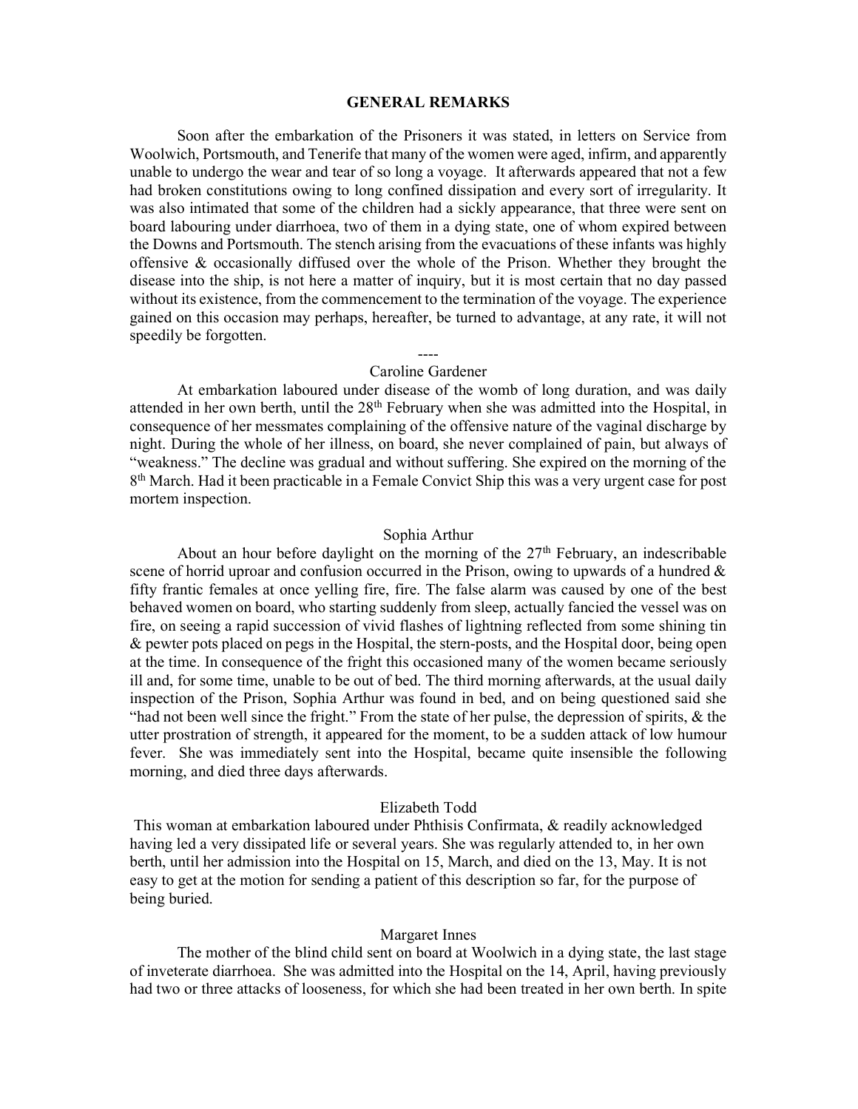#### GENERAL REMARKS

Soon after the embarkation of the Prisoners it was stated, in letters on Service from Woolwich, Portsmouth, and Tenerife that many of the women were aged, infirm, and apparently unable to undergo the wear and tear of so long a voyage. It afterwards appeared that not a few had broken constitutions owing to long confined dissipation and every sort of irregularity. It was also intimated that some of the children had a sickly appearance, that three were sent on board labouring under diarrhoea, two of them in a dying state, one of whom expired between the Downs and Portsmouth. The stench arising from the evacuations of these infants was highly offensive & occasionally diffused over the whole of the Prison. Whether they brought the disease into the ship, is not here a matter of inquiry, but it is most certain that no day passed without its existence, from the commencement to the termination of the voyage. The experience gained on this occasion may perhaps, hereafter, be turned to advantage, at any rate, it will not speedily be forgotten.

## ---- Caroline Gardener

 At embarkation laboured under disease of the womb of long duration, and was daily attended in her own berth, until the 28<sup>th</sup> February when she was admitted into the Hospital, in consequence of her messmates complaining of the offensive nature of the vaginal discharge by night. During the whole of her illness, on board, she never complained of pain, but always of "weakness." The decline was gradual and without suffering. She expired on the morning of the 8<sup>th</sup> March. Had it been practicable in a Female Convict Ship this was a very urgent case for post mortem inspection.

#### Sophia Arthur

About an hour before daylight on the morning of the  $27<sup>th</sup>$  February, an indescribable scene of horrid uproar and confusion occurred in the Prison, owing to upwards of a hundred  $\&$ fifty frantic females at once yelling fire, fire. The false alarm was caused by one of the best behaved women on board, who starting suddenly from sleep, actually fancied the vessel was on fire, on seeing a rapid succession of vivid flashes of lightning reflected from some shining tin & pewter pots placed on pegs in the Hospital, the stern-posts, and the Hospital door, being open at the time. In consequence of the fright this occasioned many of the women became seriously ill and, for some time, unable to be out of bed. The third morning afterwards, at the usual daily inspection of the Prison, Sophia Arthur was found in bed, and on being questioned said she "had not been well since the fright." From the state of her pulse, the depression of spirits, & the utter prostration of strength, it appeared for the moment, to be a sudden attack of low humour fever. She was immediately sent into the Hospital, became quite insensible the following morning, and died three days afterwards.

## Elizabeth Todd

 This woman at embarkation laboured under Phthisis Confirmata, & readily acknowledged having led a very dissipated life or several years. She was regularly attended to, in her own berth, until her admission into the Hospital on 15, March, and died on the 13, May. It is not easy to get at the motion for sending a patient of this description so far, for the purpose of being buried.

#### Margaret Innes

 The mother of the blind child sent on board at Woolwich in a dying state, the last stage of inveterate diarrhoea. She was admitted into the Hospital on the 14, April, having previously had two or three attacks of looseness, for which she had been treated in her own berth. In spite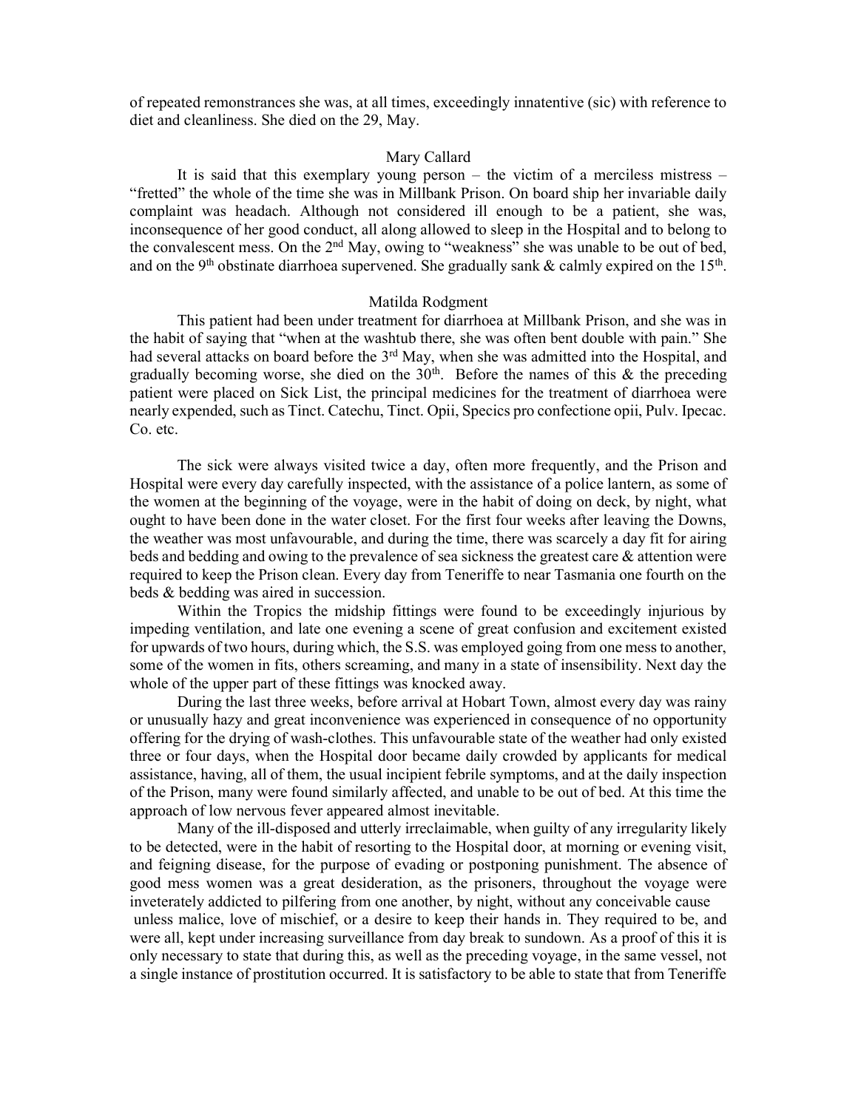of repeated remonstrances she was, at all times, exceedingly innatentive (sic) with reference to diet and cleanliness. She died on the 29, May.

## Mary Callard

 It is said that this exemplary young person – the victim of a merciless mistress – "fretted" the whole of the time she was in Millbank Prison. On board ship her invariable daily complaint was headach. Although not considered ill enough to be a patient, she was, inconsequence of her good conduct, all along allowed to sleep in the Hospital and to belong to the convalescent mess. On the 2<sup>nd</sup> May, owing to "weakness" she was unable to be out of bed, and on the 9<sup>th</sup> obstinate diarrhoea supervened. She gradually sank & calmly expired on the 15<sup>th</sup>.

## Matilda Rodgment

 This patient had been under treatment for diarrhoea at Millbank Prison, and she was in the habit of saying that "when at the washtub there, she was often bent double with pain." She had several attacks on board before the 3<sup>rd</sup> May, when she was admitted into the Hospital, and gradually becoming worse, she died on the  $30<sup>th</sup>$ . Before the names of this & the preceding patient were placed on Sick List, the principal medicines for the treatment of diarrhoea were nearly expended, such as Tinct. Catechu, Tinct. Opii, Specics pro confectione opii, Pulv. Ipecac. Co. etc.

 The sick were always visited twice a day, often more frequently, and the Prison and Hospital were every day carefully inspected, with the assistance of a police lantern, as some of the women at the beginning of the voyage, were in the habit of doing on deck, by night, what ought to have been done in the water closet. For the first four weeks after leaving the Downs, the weather was most unfavourable, and during the time, there was scarcely a day fit for airing beds and bedding and owing to the prevalence of sea sickness the greatest care & attention were required to keep the Prison clean. Every day from Teneriffe to near Tasmania one fourth on the beds & bedding was aired in succession.

 Within the Tropics the midship fittings were found to be exceedingly injurious by impeding ventilation, and late one evening a scene of great confusion and excitement existed for upwards of two hours, during which, the S.S. was employed going from one mess to another, some of the women in fits, others screaming, and many in a state of insensibility. Next day the whole of the upper part of these fittings was knocked away.

 During the last three weeks, before arrival at Hobart Town, almost every day was rainy or unusually hazy and great inconvenience was experienced in consequence of no opportunity offering for the drying of wash-clothes. This unfavourable state of the weather had only existed three or four days, when the Hospital door became daily crowded by applicants for medical assistance, having, all of them, the usual incipient febrile symptoms, and at the daily inspection of the Prison, many were found similarly affected, and unable to be out of bed. At this time the approach of low nervous fever appeared almost inevitable.

 Many of the ill-disposed and utterly irreclaimable, when guilty of any irregularity likely to be detected, were in the habit of resorting to the Hospital door, at morning or evening visit, and feigning disease, for the purpose of evading or postponing punishment. The absence of good mess women was a great desideration, as the prisoners, throughout the voyage were inveterately addicted to pilfering from one another, by night, without any conceivable cause unless malice, love of mischief, or a desire to keep their hands in. They required to be, and were all, kept under increasing surveillance from day break to sundown. As a proof of this it is only necessary to state that during this, as well as the preceding voyage, in the same vessel, not a single instance of prostitution occurred. It is satisfactory to be able to state that from Teneriffe